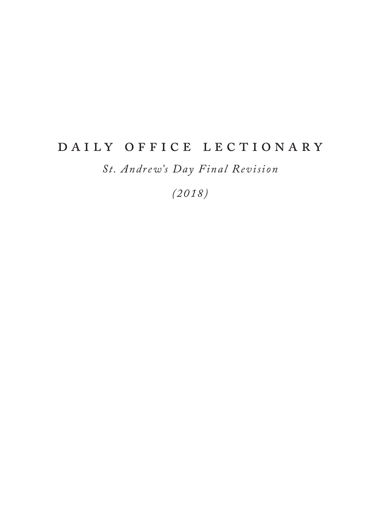# DAILY OFFICE LECTIONARY

*St. Andrew's Day Final Revision*

*(2018)*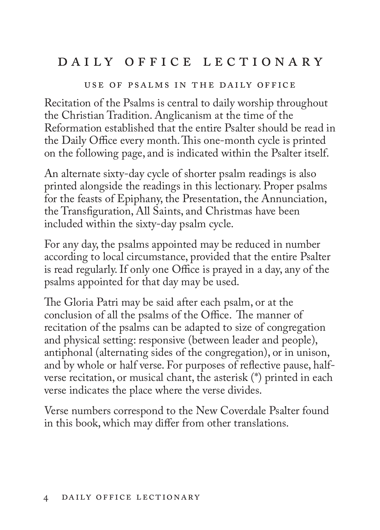# DAILY OFFICE LECTIONARY

#### use of psalms in the daily office

Recitation of the Psalms is central to daily worship throughout the Christian Tradition. Anglicanism at the time of the Reformation established that the entire Psalter should be read in the Daily Office every month. This one-month cycle is printed on the following page, and is indicated within the Psalter itself.

An alternate sixty-day cycle of shorter psalm readings is also printed alongside the readings in this lectionary. Proper psalms for the feasts of Epiphany, the Presentation, the Annunciation, the Transfiguration, All Saints, and Christmas have been included within the sixty-day psalm cycle.

For any day, the psalms appointed may be reduced in number according to local circumstance, provided that the entire Psalter is read regularly. If only one Office is prayed in a day, any of the psalms appointed for that day may be used.

The Gloria Patri may be said after each psalm, or at the conclusion of all the psalms of the Office. The manner of recitation of the psalms can be adapted to size of congregation and physical setting: responsive (between leader and people), antiphonal (alternating sides of the congregation), or in unison, and by whole or half verse. For purposes of reflective pause, halfverse recitation, or musical chant, the asterisk (\*) printed in each verse indicates the place where the verse divides.

Verse numbers correspond to the New Coverdale Psalter found in this book, which may differ from other translations.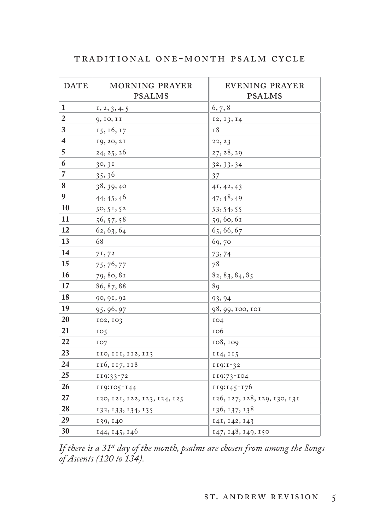| TRADITIONAL ONE-MONTH PSALM CYCLE |
|-----------------------------------|
|-----------------------------------|

| <b>DATE</b>             | <b>MORNING PRAYER</b><br><b>PSALMS</b> | <b>EVENING PRAYER</b><br><b>PSALMS</b> |
|-------------------------|----------------------------------------|----------------------------------------|
| 1                       | 1, 2, 3, 4, 5                          | 6, 7, 8                                |
| $\boldsymbol{2}$        | 9, 10, 11                              | 12, 13, 14                             |
| 3                       | 15, 16, 17                             | 18                                     |
| $\overline{\mathbf{4}}$ | 19, 20, 21                             | 22, 23                                 |
| 5                       | 24, 25, 26                             | 27, 28, 29                             |
| 6                       | 30, 31                                 | 32, 33, 34                             |
| $\overline{7}$          | 35,36                                  | 37                                     |
| 8                       | 38, 39, 40                             | 41, 42, 43                             |
| 9                       | 44, 45, 46                             | 47, 48, 49                             |
| 10                      | 50, 51, 52                             | 53, 54, 55                             |
| 11                      | 56, 57, 58                             | 59,60,61                               |
| 12                      | 62, 63, 64                             | 65, 66, 67                             |
| 13                      | 68                                     | 69,70                                  |
| 14                      | 71,72                                  | 73,74                                  |
| 15                      | 75, 76, 77                             | 78                                     |
| 16                      | 79, 80, 81                             | 82, 83, 84, 85                         |
| 17                      | 86, 87, 88                             | 89                                     |
| 18                      | 90, 91, 92                             | 93, 94                                 |
| 19                      | 95, 96, 97                             | 98, 99, 100, 101                       |
| 20                      | 102, 103                               | 104                                    |
| 21                      | IO <sub>5</sub>                        | 106                                    |
| 22                      | IO7                                    | 108, 109                               |
| 23                      | 110, 111, 112, 113                     | 114, 115                               |
| 24                      | 116, 117, 118                          | $119:1-32$                             |
| 25                      | 119:33-72                              | 119:73-104                             |
| 26                      | 119:105-144                            | 119:145-176                            |
| 27                      | 120, 121, 122, 123, 124, 125           | 126, 127, 128, 129, 130, 131           |
| 28                      | 132, 133, 134, 135                     | 136, 137, 138                          |
| 29                      | 139, 140                               | 141, 142, 143                          |
| 30                      | 144, 145, 146                          | 147, 148, 149, 150                     |

*If there is a 31st day of the month, psalms are chosen from among the Songs of Ascents (120 to 134).*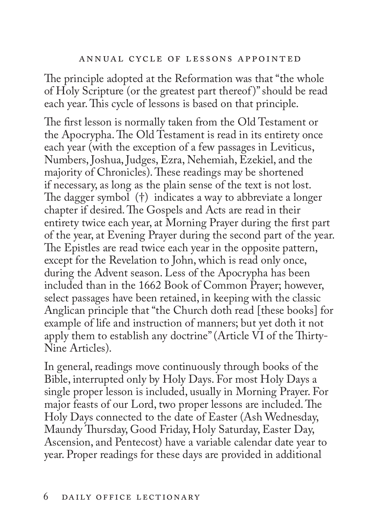#### annual cycle of lessons appointed

The principle adopted at the Reformation was that "the whole of Holy Scripture (or the greatest part thereof )" should be read each year. This cycle of lessons is based on that principle.

The first lesson is normally taken from the Old Testament or the Apocrypha. The Old Testament is read in its entirety once each year (with the exception of a few passages in Leviticus, Numbers, Joshua, Judges, Ezra, Nehemiah, Ezekiel, and the majority of Chronicles). These readings may be shortened if necessary, as long as the plain sense of the text is not lost. The dagger symbol (†) indicates a way to abbreviate a longer chapter if desired. The Gospels and Acts are read in their entirety twice each year, at Morning Prayer during the first part of the year, at Evening Prayer during the second part of the year. The Epistles are read twice each year in the opposite pattern, except for the Revelation to John, which is read only once, during the Advent season. Less of the Apocrypha has been included than in the 1662 Book of Common Prayer; however, select passages have been retained, in keeping with the classic Anglican principle that "the Church doth read [these books] for example of life and instruction of manners; but yet doth it not apply them to establish any doctrine" (Article VI of the Thirty-Nine Articles).

In general, readings move continuously through books of the Bible, interrupted only by Holy Days. For most Holy Days a single proper lesson is included, usually in Morning Prayer. For major feasts of our Lord, two proper lessons are included. The Holy Days connected to the date of Easter (Ash Wednesday, Maundy Thursday, Good Friday, Holy Saturday, Easter Day, Ascension, and Pentecost) have a variable calendar date year to year. Proper readings for these days are provided in additional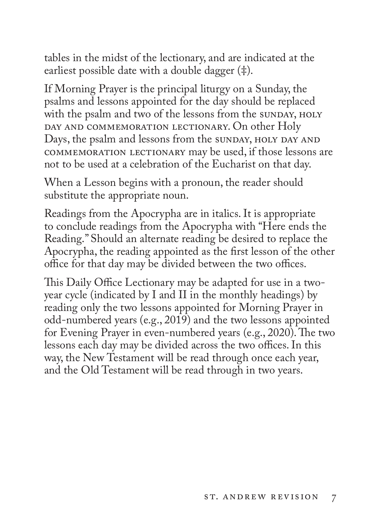tables in the midst of the lectionary, and are indicated at the earliest possible date with a double dagger (‡).

If Morning Prayer is the principal liturgy on a Sunday, the psalms and lessons appointed for the day should be replaced with the psalm and two of the lessons from the sunday, HOLY DAY AND COMMEMORATION LECTIONARY. On other Holy Days, the psalm and lessons from the sunday, HOLY DAY AND commemoration lectionary may be used, if those lessons are not to be used at a celebration of the Eucharist on that day.

When a Lesson begins with a pronoun, the reader should substitute the appropriate noun.

Readings from the Apocrypha are in italics. It is appropriate to conclude readings from the Apocrypha with "Here ends the Reading." Should an alternate reading be desired to replace the Apocrypha, the reading appointed as the first lesson of the other office for that day may be divided between the two offices.

This Daily Office Lectionary may be adapted for use in a twoyear cycle (indicated by I and II in the monthly headings) by reading only the two lessons appointed for Morning Prayer in odd-numbered years (e.g., 2019) and the two lessons appointed for Evening Prayer in even-numbered years (e.g., 2020). The two lessons each day may be divided across the two offices. In this way, the New Testament will be read through once each year, and the Old Testament will be read through in two years.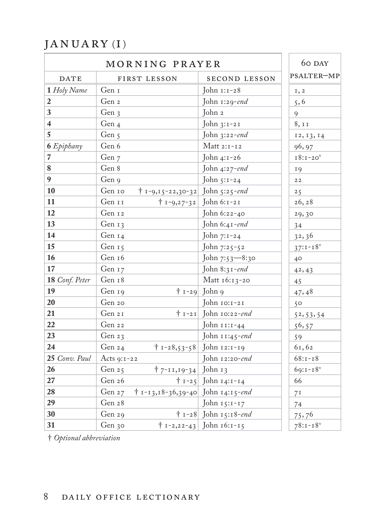# $\rm JANUARY$  (I)

|                         | MORNING PRAYER                                    |                                   | 60 DAY         |
|-------------------------|---------------------------------------------------|-----------------------------------|----------------|
| <b>DATE</b>             | FIRST LESSON                                      | SECOND LESSON                     | PSALTER-MP     |
| 1 Holy Name             | Gen I                                             | John $1:1-28$                     | I, 2           |
| $\overline{2}$          | Gen 2                                             | John 1:29-end                     | 5, 6           |
| $\mathbf{3}$            | Gen 3                                             | John 2                            | 9              |
| $\overline{\mathbf{4}}$ | Gen 4                                             | John $3:1-21$                     | 8, 11          |
| $\sqrt{5}$              | Gen $\varsigma$                                   | John 3:22-end                     | 12, 13, 14     |
| 6 Epiphany              | Gen 6                                             | Matt $2:1-12$                     | 96, 97         |
| $\overline{7}$          | Gen 7                                             | John 4:1-26                       | $I8:1-20V$     |
| $\bf 8$                 | Gen 8                                             | John 4:27-end                     | 19             |
| 9                       | Gen 9                                             | John 5:1-24                       | $2\,2$         |
| 10                      | $\dagger$ 1-9,15-22,30-32 John 5:25-end<br>Gen 10 |                                   | 25             |
| 11                      | Gen 11<br>† 1-9,27-32 John 6:1-21                 |                                   | 26, 28         |
| <b>12</b>               | Gen 12                                            | John 6:22-40                      | 29,30          |
| 13                      | Gen 13                                            | John $6:41$ -end                  | 34             |
| 14                      | Gen 14                                            | John 7:1-24                       | 32,36          |
| 15                      | Gen 15                                            | John 7:25-52                      | $37:1 - 18^v$  |
| 16                      | Gen 16                                            | John 7:53-8:30                    | $40^{\circ}$   |
| 17                      | Gen 17                                            | John 8:31-end                     | 42, 43         |
| 18 Conf. Peter          | Gen 18                                            | Matt 16:13-20                     | 45             |
| <b>19</b>               | Gen 19                                            | $\dagger$ 1-29 John 9             | 47,48          |
| 20                      | Gen 20                                            | John 10:1-21                      | 50             |
| 21                      | Gen 21                                            | $\dagger$ 1-21 John 10:22-end     | 52, 53, 54     |
| 22                      | Gen 22                                            | John 11:1-44                      | 56, 57         |
| 23                      | Gen 23                                            | John 11:45-end                    | 59             |
| 24                      | Gen 24                                            | $\dagger$ 1-28,53-58 John 12:1-19 | 61,62          |
| 25 Conv. Paul           | Acts 9:1-22                                       | John 12:20-end                    | $68:1 - 18$    |
| 26                      | $\uparrow$ 7-11,19-34 John 13<br>Gen 25           |                                   | $69:1 - 18$    |
| 27                      | Gen 26                                            | $\dagger$ 1-25 John 14:1-14       | 66             |
| 28                      | † 1-13,18-36,39-40 John 14:15-end<br>Gen 27       |                                   | 7 <sup>I</sup> |
| 29                      | Gen 28                                            | John $15:1-17$                    | 74             |
| 30                      | Gen 29                                            | $\dagger$ 1-28 John 15:18-end     | 75,76          |
| 31                      | Gen 30                                            | $\dagger$ 1-2,22-43 John 16:1-15  | $78:1 - 18$    |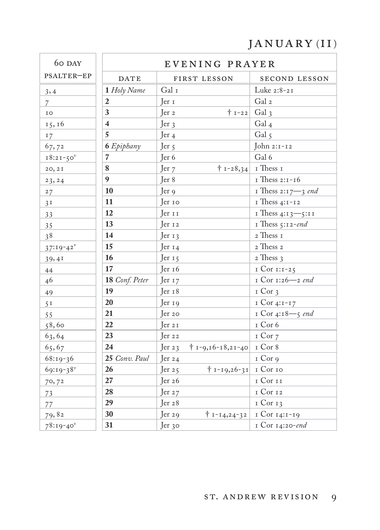## JANUARY (II)

| 60 DAY         |                         | EVENING PRAYER                                             |                               |
|----------------|-------------------------|------------------------------------------------------------|-------------------------------|
| PSALTER-EP     | <b>DATE</b>             | FIRST LESSON                                               | SECOND LESSON                 |
| 3, 4           | 1 Holy Name             | Gal I                                                      | Luke 2:8-21                   |
| $\overline{7}$ | $\overline{2}$          | Jer <sub>1</sub>                                           | Gal 2                         |
| IO             | 3                       | $\dagger$ 1-22 Gal 3<br>$\mathop{\mathrm{Ier}}\nolimits 2$ |                               |
| 15, 16         | $\overline{\mathbf{4}}$ | $\text{Jer }$                                              | Gal $_4$                      |
| 17             | 5                       | Jer $4$                                                    | Gal 5                         |
| 67,72          | 6 Epiphany              | Jer <sub>5</sub>                                           | John 2:1-12                   |
| $18:21-50$     | $\overline{7}$          | Jer <sub>6</sub>                                           | Gal 6                         |
| 20, 2I         | 8                       | Jer 7                                                      | $\dagger$ 1-28,34 I Thess 1   |
| 23, 24         | $\boldsymbol{9}$        | Jer 8                                                      | I Thess 2:1-16                |
| 27             | 10                      | $\mathop{\text{Ter}}\nolimits$ 9                           | I Thess $2:17 - 3$ end        |
| 3 <sup>T</sup> | 11                      | Jer 10                                                     | I Thess 4:1-12                |
| 33             | 12                      | Jer 11                                                     | I Thess 4:13-5:11             |
| 35             | 13                      | Jer <sub>12</sub>                                          | I Thess $5:12$ -end           |
| 38             | 14                      | $\text{Jer } \tau$                                         | $\rm{_{2}}$ Thess $\rm{_{I}}$ |
| $37:19-42^v$   | 15                      | Jer $14$                                                   | 2 Thess 2                     |
| 39,41          | 16                      | Jer <sub>15</sub>                                          | 2 Thess 3                     |
| 44             | 17                      | Jer 16                                                     | I Cor 1:1-25                  |
| 46             | 18 Conf. Peter          | Jer <sub>17</sub>                                          | I Cor 1:26-2 end              |
| 49             | 19                      | Jer <sub>18</sub>                                          | $I$ Cor $3$                   |
| 5 <sup>T</sup> | 20                      | $\text{er }$ 19                                            | I Cor 4:1-17                  |
| 55             | 21                      | Jer 20                                                     | I Cor 4:18-5 end              |
| 58,60          | 22                      | Jer 21                                                     | I Cor 6                       |
| 63,64          | 23                      | Jer 22                                                     | I Cor 7                       |
| 65,67          | 24                      | $† 1 - 9, 16 - 18, 21 - 40$<br>Jer $23$                    | I Cor 8                       |
| $68:19-36$     | 25 Conv. Paul           | Jer $24$                                                   | I Cor 9                       |
| 69:19-38       | 26                      | $+ 1 - 19,26 - 31$ I Cor 10<br>Jer $25$                    |                               |
| 70, 72         | 27                      | $\text{Jer } 26$                                           | I Cor II                      |
| 73             | 28                      | Jer $27$                                                   | 1 Cor 12                      |
| 77             | 29                      | $\text{er } 28$                                            | 1 Cor 13                      |
| 79,82          | 30                      | Jer <sub>29</sub><br>$† 1 - 14, 24 - 32$                   | 1 Cor 14:1-19                 |
| $78:19-40$     | 31                      | Jer 30                                                     | I Cor 14:20-end               |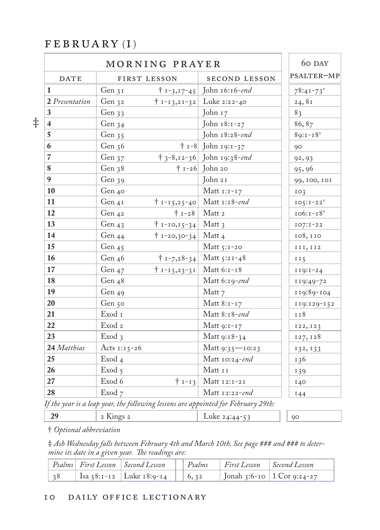#### FEBRUARY (I)

|                         |                   | MORNING PRAYER                   |                                    | 60 DAY       |
|-------------------------|-------------------|----------------------------------|------------------------------------|--------------|
| <b>DATE</b>             | FIRST LESSON      |                                  | SECOND LESSON                      | PSALTER-MP   |
|                         | Gen 31            |                                  | $\dagger$ 1-3,17-45 John 16:16-end | $78:41 - 73$ |
| 2 Presentation          | Gen 32            |                                  | $\dagger$ 1-13,21-32 Luke 2:22-40  | 24,81        |
| 3                       | Gen 33            |                                  | John 17                            | 83           |
| $\overline{\mathbf{4}}$ | Gen 34            |                                  | John 18:1-27                       | 86,87        |
| 5                       | Gen 35            |                                  | John 18:28-end                     | $89:1 - 18$  |
| 6                       | Gen 36            |                                  | $\dagger$ 1-8 John 19:1-37         | 90           |
| $\overline{7}$          | Gen 37            |                                  | $\dagger$ 3-8,12-36 John 19:38-end | 92, 93       |
| 8                       | Gen 38            |                                  | $\dagger$ 1-26 John 20             | 95,96        |
| 9                       | Gen 39            |                                  | John 21                            | 99, 100, 101 |
| 10                      | Gen 40            |                                  | Matt $1:1-17$                      | IO3          |
| 11                      | Gen 41            |                                  | $\dagger$ 1-15,25-40 Matt 1:18-end | $IO5:I-22V$  |
| 12                      | Gen 42            |                                  | $\dagger$ 1-28 Matt 2              | $106:1-18$   |
| 13                      | Gen 43            | $† 1-10,15-34$                   | Matt 3                             | $IO7: I-22$  |
| 14                      | Gen 44            | $\dagger$ 1-20,30-34 Matt 4      |                                    | 108,110      |
| 15                      | Gen $45$          |                                  | Matt 5:1-20                        | III, II2     |
| 16                      | Gen 46            |                                  | $\dagger$ 1-7,28-34 Matt 5:21-48   | II5          |
| 17                      | Gen $47$          | $\dagger$ 1-15,23-31 Matt 6:1-18 |                                    | $119:1-24$   |
| 18                      | Gen 48            |                                  | Matt 6:19-end                      | 119:49-72    |
| 19                      | Gen 49            |                                  | Matt 7                             | 119:89-104   |
| 20                      | Gen 50            |                                  | Matt 8:1-17                        | 119:129-152  |
| 21                      | Exod 1            |                                  | Matt 8:18-end                      | 118          |
| 22                      | Exod <sub>2</sub> |                                  | Matt 9:1-17                        | 122, 123     |
| 23                      | Exod 3            |                                  | Matt 9:18-34                       | 127, 128     |
| 24 Matthias             | Acts $1:15-26$    |                                  | Matt 9:35—10:23                    | 132, 133     |
| 25                      | Exod 4            |                                  | Matt 10:24-end                     | I 36         |
| 26                      | Exod <sub>5</sub> |                                  | Matt 11                            | 139          |
| 27                      | Exod 6            |                                  | $\dagger$ 1-13 Matt 12:1-21        | 140          |
| 28                      | Exod 7            |                                  | Matt $12:22$ -end                  | 144          |

*If the year is a leap year, the following lessons are appointed for February 29th:*

2 Kings 2 **Luke 24:44-53** 90

† *Optional abbreviation* 

‡ *Ash Wednesday falls between February 4th and March 10th. See page ### and ### to determine its date in a given year. The readings are:*

|                | Psalms First Lesson   Second Lesson   Psalms   First Lesson   Second Lesson |  |  |
|----------------|-----------------------------------------------------------------------------|--|--|
| $\frac{1}{38}$ | Isa 58:1-12   Luke 18:9-14     6, 32   Jonah 3:6-10   1 Cor 9:24-27         |  |  |

‡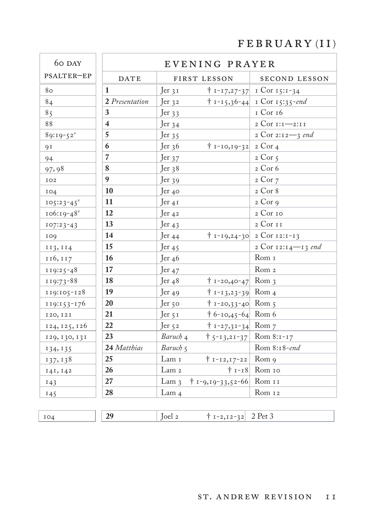# $FEBRUARY (II)$

| 60 DAY                  | EVENING PRAYER          |                                                 |                                      |
|-------------------------|-------------------------|-------------------------------------------------|--------------------------------------|
| PSALTER-EP              | <b>DATE</b>             | FIRST LESSON                                    | SECOND LESSON                        |
| 80                      | $\mathbf{1}$            | Jer 31                                          | $\uparrow$ 1-17,27-37 1 Cor 15:1-34  |
| 84                      | 2 Presentation          | $\text{Jer }$ 32                                | $\dagger$ 1-15,36-44 1 Cor 15:35-end |
| 85                      | 3                       | Jer $33$                                        | 1 Cor 16                             |
| 88                      | $\overline{\mathbf{4}}$ | Jer $34$                                        | 2 Cor 1:1-2:11                       |
| $89:19-52$ <sup>v</sup> | 5                       | Jer $35$                                        | 2 Cor 2:12-3 end                     |
| 91                      | 6                       | $\dagger$ 1-10,19-32 2 Cor 4<br>Jer 36          |                                      |
| 94                      | $\overline{7}$          | Jer 37                                          | $2$ Cor $5$                          |
| 97,98                   | 8                       | Jer <sub>38</sub>                               | 2 Cor 6                              |
| IO2                     | $\boldsymbol{9}$        | $\text{Jer }$ 39                                | $2$ Cor $7$                          |
| IO4                     | 10                      | $\text{er }$ 40                                 | 2 Cor 8                              |
| $105:23-45$             | 11                      | $\text{er } 4I$                                 | $2$ Cor 9                            |
| $106:19-48$             | 12                      | Jer $42$                                        | 2 Cor 10                             |
| $107:23-43$             | 13                      | Jer $43$                                        | 2 Cor 11                             |
| 109                     | 14                      | Jer $44$                                        | $+ 1 - 19,24 - 30$ 2 Cor 12:1-13     |
| 113, 114                | 15                      | Jer <sub>45</sub>                               | 2 Cor 12:14-13 end                   |
| 116, 117                | 16                      | Jer 46                                          | Rom 1                                |
| $119:25-48$             | 17                      | Jer <sub>47</sub>                               | Rom <sub>2</sub>                     |
| 119:73-88               | 18                      | $\dagger$ 1-20,40-47 Rom 3<br>Jer <sub>48</sub> |                                      |
| $119:105 - 128$         | 19                      | $\dagger$ 1-13,23-39 Rom 4<br>Jer 49            |                                      |
| $119:153-176$           | 20                      | $\dagger$ 1-20,33-40 Rom 5<br>Jer 50            |                                      |
| 120, 121                | 21                      | $\dagger$ 6-10,45-64 Rom 6<br>Jer 5 1           |                                      |
| 124, 125, 126           | 22                      | Jer 52<br>$\dagger$ 1-27,31-34 Rom 7            |                                      |
| 129, 130, 131           | 23                      | Baruch 4                                        | $\uparrow$ 5-13,21-37 Rom 8:1-17     |
| 134, 135                | 24 Matthias             | Baruch 5                                        | Rom 8:18-end                         |
| 137, 138                | 25                      | Lam 1<br>$† 1 - 12, 17 - 22$                    | Rom 9                                |
| 141, 142                | 26                      | Lam <sub>2</sub>                                | $+1-18$ Rom 10                       |
| 143                     | 27                      | $\dagger$ 1-9,19-33,52-66 Rom 11<br>$Lam_3$     |                                      |
| 145                     | 28                      | Lam <sub>4</sub>                                | Rom 12                               |

**29 20 20 20 20 20 20 2 2** Pet 3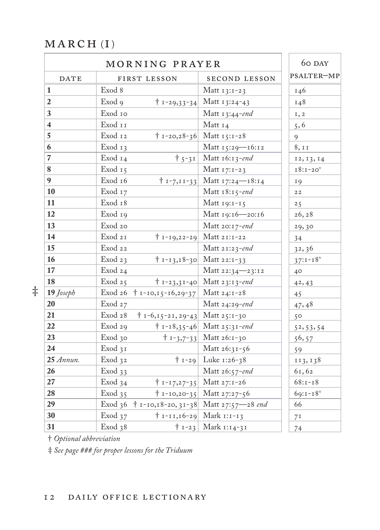#### $MARCH(I)$

|                |                    | MORNING PRAYER                                   |                                               | 60 DAY         |
|----------------|--------------------|--------------------------------------------------|-----------------------------------------------|----------------|
| <b>DATE</b>    |                    | FIRST LESSON                                     | SECOND LESSON                                 | PSALTER-MP     |
| $\vert$ 1      | Exod 8             |                                                  | Matt $13:1-23$                                | 146            |
| $\overline{2}$ | Exod 9             |                                                  | $\dagger$ 1-29,33-34 Matt 13:24-43            | 148            |
| 3              | Exod 10            |                                                  | Matt 13:44-end                                | 1, 2           |
| $\overline{4}$ | Exod 11            |                                                  | Matt 14                                       | 5, 6           |
| $\overline{5}$ | Exod 12            |                                                  | $\dagger$ 1-20,28-36 Matt 15:1-28             | 9              |
| 6              | Exod 13            |                                                  | Matt 15:29-16:12                              | 8,11           |
| $\overline{7}$ | Exod 14            |                                                  | $\dagger$ 5-31   Matt 16:13-end               | 12, 13, 14     |
| 8              | Exod 15            |                                                  | Matt $17:1-23$                                | $I8:1-20$      |
| 9              | Exod 16            |                                                  | $\dagger$ 1-7,11-33 Matt 17:24-18:14          | 19             |
| 10             | Exod 17            |                                                  | Matt $18:15$ -end                             | $2\,2$         |
| 11             | Exod 18            |                                                  | Matt $19:1-15$                                | 25             |
| 12             | Exod 19            |                                                  | Matt 19:16-20:16                              | 26, 28         |
| 13             | Exod 20            |                                                  | Matt 20:17-end                                | 29,30          |
| 14             | Exod 21            |                                                  | $\dagger$ 1-19,22-29 Matt 21:1-22             | 34             |
| 15             | Exod 22            |                                                  | Matt 21:23-end                                | 32,36          |
| 16             | Exod $23$          |                                                  | $\dagger$ 1-13,18-30 Matt 22:1-33             | $37:1 - 18$    |
| 17             | Exod 24            |                                                  | Matt 22:34-23:12                              | 40             |
| 18             | Exod $25$          |                                                  | $\dagger$ 1-23,31-40 Matt 23:13-end           | 42, 43         |
| 19 Joseph      |                    | Exod 26 $\uparrow$ 1-10,15-16,29-37 Matt 24:1-28 |                                               | 45             |
| 20             | Exod 27            |                                                  | Matt $24:29$ -end                             | 47,48          |
| 21             | Exod 28            | $\dagger$ 1-6,15-21, 29-43 Matt 25:1-30          |                                               | 50             |
| 22             | Exod 29            |                                                  | $\dagger$ 1-18,35-46 Matt 25:31-end           | 52, 53, 54     |
| 23             | Exod 30            |                                                  | $\dagger$ 1-3,7-33 Matt 26:1-30               | 56,57          |
| 24             | Exod 31            |                                                  | Matt 26:31-56                                 | 59             |
| $25$ Annun.    | Exod 32            |                                                  | $\dagger$ 1-29 Luke 1:26-38                   | 113, 138       |
| 26             | Exod <sub>33</sub> |                                                  | Matt 26:57-end                                | 61,62          |
| 27             | Exod <sub>34</sub> |                                                  | $\dagger$ 1-17,27-35 Matt 27:1-26             | $68:1 - 18$    |
| 28             | Exod <sub>35</sub> |                                                  | $\dagger$ 1-10,20-35 Matt 27:27-56            | $69:1 - 18$    |
| 29             |                    |                                                  | Exod 36 + 1-10,18-20, 31-38 Matt 27:57-28 end | 66             |
| 30             | Exod <sub>37</sub> |                                                  | $\dagger$ 1-11,16-29 Mark 1:1-13              | 7 <sup>I</sup> |
| 31             | Exod <sub>38</sub> |                                                  | $\dagger$ 1-23 Mark 1:14-31                   | 74             |

† *Optional abbreviation* 

‡

‡ *See page ### for proper lessons for the Triduum*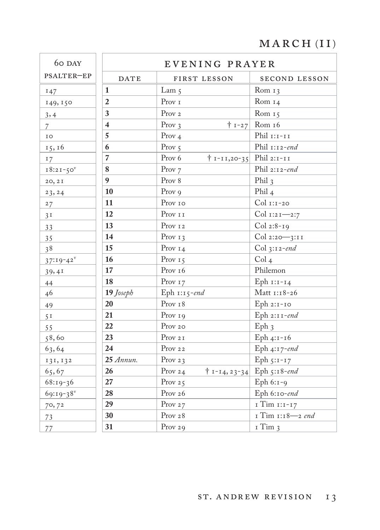## $MARCH (II)$

| 60 DAY                  |                         |             | EVENING PRAYER               |                            |
|-------------------------|-------------------------|-------------|------------------------------|----------------------------|
| PSALTER-EP              |                         | <b>DATE</b> | FIRST LESSON                 | SECOND LESSON              |
| 147                     | $\mathbf{1}$            |             | Lam $\zeta$                  | Rom $13$                   |
| 149, 150                | $\overline{2}$          |             | Prov $\scriptstyle\rm I$     | Rom 14                     |
| 3,4                     | 3                       |             | Prov 2                       | Rom 15                     |
| $\overline{7}$          | $\overline{\mathbf{4}}$ |             | Prov $3$<br>$+1-27$          | Rom 16                     |
| IO                      | 5                       |             | Prov $4$                     | Phil $r: r-rr$             |
| 15, 16                  | 6                       |             | Prov $5$                     | Phil 1:12-end              |
| 17                      | $\overline{7}$          |             | Prov 6<br>$† 1 - 11,20 - 35$ | Phil 2:1-11                |
| $18:21-50^{\circ}$      | 8                       |             | Prov <sub>7</sub>            | Phil 2:12-end              |
| 20, 2I                  | $\boldsymbol{9}$        |             | Prov 8                       | Phil $_3$                  |
| 23, 24                  | 10                      |             | Prov 9                       | Phil $_4$                  |
| 27                      | 11                      |             | ${\rm Prov}$ 10              | Col 1:1-20                 |
| 3 <sup>T</sup>          | 12                      |             | Prov $\scriptstyle\rm I\,I$  | Col 1:21-2:7               |
| 33                      | 13                      |             | Prov <sub>12</sub>           | $Col 2:8-19$               |
| 35                      | 14                      |             | Prov $13$                    | Col 2:20-3:11              |
| 38                      | 15                      |             | Prov $14$                    | $Col_3:12-end$             |
| $37:19-42^v$            | 16                      |             | Prov $15$                    | Col <sub>4</sub>           |
| 39,41                   | 17                      |             | Prov $\scriptstyle\rm I6$    | Philemon                   |
| 44                      | 18                      |             | Prov <sub>17</sub>           | Eph $1:1-14$               |
| 46                      |                         | 19 Joseph   | Eph 1:15-end                 | Matt 1:18-26               |
| 49                      | 20                      |             | Prov <sub>18</sub>           | Eph 2:1-10                 |
| $5r$                    | 21                      |             | Prov <sub>19</sub>           | Eph 2:11-end               |
| 55                      | 22                      |             | Prov 20                      | Eph <sub>3</sub>           |
| 58,60                   | 23                      |             | Prov $_{2\,\rm I}$           | Eph $4:1-16$               |
| 63,64                   | 24                      |             | Prov $\rm _{2\,2}$           | Eph 4:17-end               |
| 131, 132                |                         | $25$ Annun. | Prov $23$                    | Eph $5:1-17$               |
| 65,67                   | 26                      |             | Prov 24                      | † 1-14, 23-34 Eph 5:18-end |
| $68:19-36$              | 27                      |             | Prov $25$                    | Eph $6:1-9$                |
| $69:19-38$ <sup>v</sup> | 28                      |             | Prov <sub>26</sub>           | Eph 6:10-end               |
| 70,72                   | 29                      |             | Prov 27                      | I Tim 1:1-17               |
| 73                      | 30                      |             | Prov <sub>28</sub>           | I Tim 1:18-2 end           |
| 77                      | 31                      |             | Prov 29                      | $I$ Tim $3$                |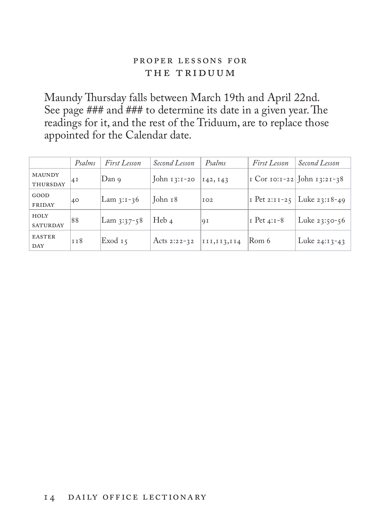#### proper lessons for THE TRIDUUM

Maundy Thursday falls between March 19th and April 22nd. See page ### and ### to determine its date in a given year. The readings for it, and the rest of the Triduum, are to replace those appointed for the Calendar date.

|                                  | Psalms     | First Lesson | Second Lesson  | Psalms        | First Lesson        | Second Lesson                 |
|----------------------------------|------------|--------------|----------------|---------------|---------------------|-------------------------------|
| <b>MAUNDY</b><br><b>THURSDAY</b> | 41         | Dan 9        | John $13:1-20$ | 142, 143      |                     | I Cor 10:1-22 John 13:21-38   |
| GOOD<br><b>FRIDAY</b>            | 40         | Lam 3:1-36   | John 18        | IO2           |                     | I Pet 2:11-25   Luke 23:18-49 |
| HOLY<br><b>SATURDAY</b>          | 88         | Lam 3:37-58  | Heb $4$        | 9I            | $\vert$ T Pet 4:1-8 | Luke $23:50-56$               |
| <b>EASTER</b><br>DAY             | <b>TT8</b> | Exod 15      | Acts 2:22-32   | III, II3, II4 | Rom 6               | Luke $24:13-43$               |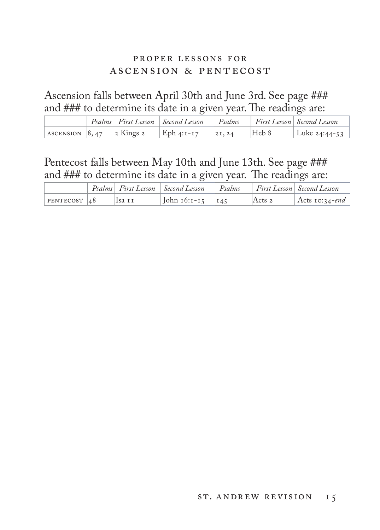#### proper lessons for ascension & pentecost

Ascension falls between April 30th and June 3rd. See page ### and ### to determine its date in a given year. The readings are:

|  |                                                                        | Psalms First Lesson Second Lesson Psalms First Lesson Second Lesson |        |       |                 |
|--|------------------------------------------------------------------------|---------------------------------------------------------------------|--------|-------|-----------------|
|  | ASCENSION $\begin{array}{ccc} 8,47 & 2 \end{array}$ Kings 2 Eph 4:1-17 |                                                                     | 21, 24 | Heb 8 | Luke $24:44-53$ |

Pentecost falls between May 10th and June 13th. See page ### and ### to determine its date in a given year. The readings are:

|                |        | Psalms First Lesson Second Lesson Psalms First Lesson Second Lesson |          |                |
|----------------|--------|---------------------------------------------------------------------|----------|----------------|
| $PENTECOST$ 48 | Isa 11 | $\vert$ John 16:1-15 $\vert$ 145                                    | Acts $2$ | Acts 10:34-end |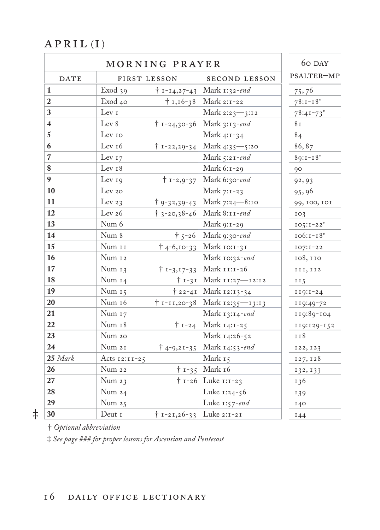#### $APRIL(I)$

| MORNING PRAYER          |                          |                                  |                                     | 60 DAY         |
|-------------------------|--------------------------|----------------------------------|-------------------------------------|----------------|
| <b>DATE</b>             | FIRST LESSON             |                                  | <b>SECOND LESSON</b>                | PSALTER-MP     |
| $\mathbf{1}$            | Exod 39                  | $† 1 - 14, 27 - 43$              | Mark 1:32-end                       | 75,76          |
| $\overline{2}$          | Exod 40                  | $\dagger$ 1,16-38                | Mark 2:1-22                         | $78:1 - 18$    |
| 3                       | Lev 1                    |                                  | Mark 2:23-3:12                      | $78:41 - 73$   |
| $\overline{\mathbf{4}}$ | Lev 8                    |                                  | $\dagger$ 1-24,30-36 Mark 3:13-end  | 8 <sub>I</sub> |
| 5                       | Lev 10                   |                                  | Mark 4:1-34                         | 84             |
| 6                       | Lev <sub>16</sub>        |                                  | $\dagger$ 1-22,29-34 Mark 4:35-5:20 | 86,87          |
| $\overline{7}$          | Lev $17$                 |                                  | Mark $5:21$ -end                    | $89:1 - 18$    |
| 8                       | Lev <sub>18</sub>        |                                  | Mark 6:1-29                         | 90             |
| 9                       | Lev 19                   |                                  | $\dagger$ 1-2,9-37 Mark 6:30-end    | 92, 93         |
| 10                      | Lev 20                   |                                  | Mark 7:1-23                         | 95,96          |
| 11                      | Lev $23$                 | $† 9 - 32,39 - 43$               | Mark 7:24-8:10                      | 99, 100, 101   |
| 12                      | Lev $26$                 |                                  | $\uparrow$ 3-20,38-46 Mark 8:11-end | IO3            |
| 13                      | Num 6                    |                                  | Mark 9:1-29                         | $IO5:I-22V$    |
| 14                      | Num 8                    |                                  | $\dagger$ 5-26 Mark 9:30-end        | $106:1 - 18^v$ |
| 15                      | Num 11                   |                                  | $\dagger$ 4-6,10-33 Mark 10:1-31    | $IO7: I-22$    |
| 16                      | Num <sub>12</sub>        |                                  | Mark 10:32-end                      | 108, 110       |
| 17                      | Num 13                   | $† 1 - 3, 17 - 33$               | Mark 11:1-26                        | III, II2       |
| 18                      | Num $14$                 | $† 1 - 31$                       | Mark 11:27-12:12                    | II5            |
| 19                      | Num $15$                 | $† 22 - 41$                      | Mark 12:13-34                       | $I19:1-24$     |
| 20                      | Num 16                   |                                  | † 1-11,20-38 Mark 12:35—13:13       | 119:49-72      |
| 21                      | Num 17                   |                                  | Mark 13:14-end                      | 119:89-104     |
| 22                      | Num 18                   |                                  | $\dagger$ 1-24 Mark 14:1-25         | 119:129-152    |
| 23                      | Num 20                   |                                  | Mark 14:26-52                       | II8            |
| 24                      | Num 21                   |                                  | $\dagger$ 4-9,21-35 Mark 14:53-end  | 122, 123       |
| $25$ Mark               | Acts $12:11-25$          |                                  | Mark 15                             | 127, 128       |
| 26                      | Num 22                   |                                  | $\dagger$ 1-35 Mark 16              | 132, 133       |
| 27                      | Num $23$                 |                                  | $\dagger$ 1-26 Luke 1:1-23          | 136            |
| 28                      | Num 24                   |                                  | Luke $1:24-56$                      | 139            |
| 29                      | Num $25$                 |                                  | Luke $1:57$ -end                    | I40            |
| $\ddagger$<br>30        | Deut $\scriptstyle\rm I$ | $\dagger$ 1-21,26-33 Luke 2:1-21 |                                     | I44            |
|                         |                          |                                  |                                     |                |

† *Optional abbreviation* 

‡ *See page ### for proper lessons for Ascension and Pentecost*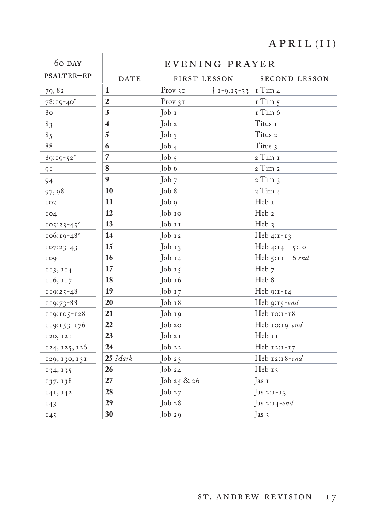# $\overline{APRIL(II)}$

| 60 DAY          |                         | EVENING PRAYER                          |                           |
|-----------------|-------------------------|-----------------------------------------|---------------------------|
| PSALTER-EP      | <b>DATE</b>             | FIRST LESSON                            | SECOND LESSON             |
| 79,82           | $\mathbf{1}$            | Prov 30<br>$\uparrow$ 1-9,15-33 1 Tim 4 |                           |
| $78:19-40$      | $\overline{2}$          | Prov $31$                               | I Tim 5                   |
| 80              | 3                       | Job 1                                   | $I$ Tim $6$               |
| 8 <sub>3</sub>  | $\overline{\mathbf{4}}$ | $\int$ ob <sub>2</sub>                  | Titus 1                   |
| 85              | 5                       | $Job_3$                                 | Titus 2                   |
| 88              | 6                       | $\int$ ob 4                             | Titus 3                   |
| $89:19-52^v$    | $\overline{7}$          | Job $5$                                 | 2 Тіт $\scriptstyle\rm I$ |
| <b>91</b>       | 8                       | Job 6                                   | 2 Tim 2                   |
| 94              | 9                       | Job 7                                   | $2$ Tim $3$               |
| 97,98           | 10                      | Job 8                                   | $2$ Tim $4$               |
| IO2             | 11                      | Job 9                                   | Heb 1                     |
| IO4             | 12                      | Job 10                                  | Heb 2                     |
| $105:23-45$     | 13                      | Job 11                                  | Heb <sub>3</sub>          |
| $106:19-48$     | 14                      | Job 12                                  | Heb 4:1-13                |
| $107:23-43$     | 15                      | $Job_13$                                | Heb 4:14-5:10             |
| 109             | 16                      | $\int$ ob $I_4$                         | Heb 5:11-6 end            |
| 113, 114        | 17                      | Job $15$                                | Heb 7                     |
| 116, 117        | 18                      | Job 16                                  | Heb 8                     |
| $119:25-48$     | 19                      | Job $17$                                | Heb $9:1-14$              |
| 119:73-88       | 20                      | Job 18                                  | Heb 9:15-end              |
| 119:105-128     | 21                      | Job 19                                  | Heb 10:1-18               |
| $119:153 - 176$ | 22                      | Job 20                                  | Heb 10:19-end             |
| 120, 121        | 23                      | Job21                                   | Heb 11                    |
| 124, 125, 126   | 24                      | $\int$ ob 22                            | Heb 12:1-17               |
| 129, 130, 131   | 25 Mark                 | Job $23$                                | Heb 12:18-end             |
| 134, 135        | 26                      | Job $24$                                | Heb $13$                  |
| 137, 138        | 27                      | Job 25 & 26                             | Jas 1                     |
| 141, 142        | 28                      | Job $27$                                | Jas 2: $1 - 13$           |
| 143             | 29                      | Job28                                   | Jas 2:14-end              |
| 145             | 30                      | Job29                                   | Jas 3                     |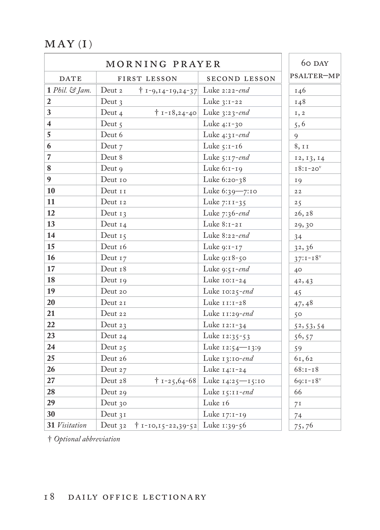$MAY(I)$ 

|                         | 60 DAY                                            |                                       |                 |
|-------------------------|---------------------------------------------------|---------------------------------------|-----------------|
| DATE                    | FIRST LESSON                                      | SECOND LESSON                         | PSALTER-MP      |
| 1 Phil. & Jam.          | Deut 2<br>$\dagger$ 1-9,14-19,24-37 Luke 2:22-end |                                       | 146             |
| $\overline{2}$          | Deut $\frac{1}{3}$                                | Luke 3:1-22                           | 148             |
| $\mathbf{3}$            | Deut 4                                            | $\dagger$ 1-18,24-40 Luke 3:23-end    | 1, 2            |
| $\overline{\mathbf{4}}$ | Deut 5                                            | Luke 4:1-30                           | 5, 6            |
| $\overline{5}$          | Deut 6                                            | Luke $4:31$ -end                      | 9               |
| $\bf 6$                 | Deut 7                                            | Luke $5:1-16$                         | 8, 11           |
| $\overline{7}$          | Deut 8                                            | Luke 5:17-end                         | 12, 13, 14      |
| $\bf 8$                 | Deut 9                                            | Luke 6:1-19                           | $18:1-20$       |
| $\overline{9}$          | Deut 10                                           | Luke 6:20-38                          | 19              |
| 10                      | Deut 11                                           | Luke 6:39-7:10                        | $2\,2$          |
| 11                      | Deut 12                                           | Luke 7:11-35                          | 25              |
| <b>12</b>               | Deut $13$                                         | Luke 7:36-end                         | 26, 28          |
| 13                      | Deut $14$                                         | Luke 8:1-21                           | 29,30           |
| 14                      | Deut $15$                                         | Luke 8:22-end                         | 34              |
| 15                      | Deut 16                                           | Luke 9:1-17                           | 32,36           |
| 16                      | Deut 17                                           | Luke 9:18-50                          | $37:1 - 18^{v}$ |
| 17                      | Deut 18                                           | Luke 9:51-end                         | $40^{\circ}$    |
| <b>18</b>               | Deut 19                                           | Luke 10:1-24                          | 42, 43          |
| <b>19</b>               | Deut 20                                           | Luke 10:25-end                        | 45              |
| 20                      | Deut 21                                           | Luke 11:1-28                          | 47,48           |
| 21                      | Deut 22                                           | Luke 11:29-end                        | 50              |
| 22                      | Deut $23$                                         | Luke 12:1-34                          | 52, 53, 54      |
| $23\,$                  | Deut 24                                           | Luke 12:35-53                         | 56, 57          |
| $\overline{24}$         | Deut $25$                                         | Luke 12:54—13:9                       | 59              |
| 25                      | Deut 26                                           | Luke $13:10$ -end                     | 61,62           |
| 26                      | Deut 27                                           | Luke 14:1-24                          | $68:1 - 18$     |
| 27                      | Deut 28                                           | $\dagger$ 1-25,64-68 Luke 14:25-15:10 | $69:1 - 18$     |
| 28                      | Deut 29                                           | Luke 15:11-end                        | 66              |
| 29                      | Deut 30                                           | Luke 16                               | 7 <sup>I</sup>  |
| 30                      | Deut $31$                                         | Luke 17:1-19                          | 74              |
| 31 Visitation           | Deut 32 + 1-10,15-22,39-52 Luke 1:39-56           |                                       | 75,76           |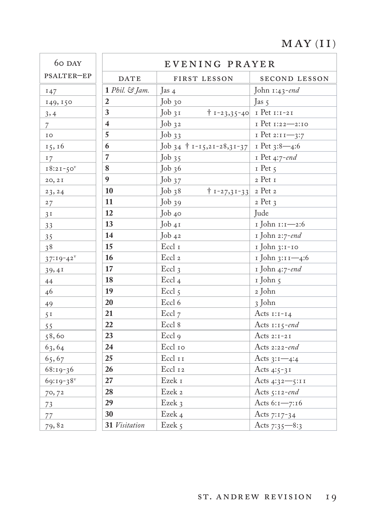#### $MAY(II)$

| 60 DAY                  |                         | EVENING PRAYER                          |                                   |
|-------------------------|-------------------------|-----------------------------------------|-----------------------------------|
| PSALTER-EP              | <b>DATE</b>             | FIRST LESSON                            | SECOND LESSON                     |
| 147                     | 1 Phil. & Jam.          | Jas 4                                   | John $1:43$ -end                  |
| 149, 150                | 2                       | Job 30                                  | Jas $5$                           |
| 3,4                     | 3                       | $Job_31$                                | $\dagger$ 1-23,35-40 1 Pet 1:1-21 |
| $\overline{7}$          | $\overline{\mathbf{4}}$ | $Job_{32}$                              | I Pet 1:22-2:10                   |
| IO                      | 5                       | Job33                                   | I Pet 2:11-3:7                    |
| 15, 16                  | 6                       | Job 34 + 1-15,21-28,31-37 1 Pet 3:8-4:6 |                                   |
| 17                      | $\overline{7}$          | Job $35$                                | I Pet 4:7-end                     |
| $18:21-50$              | 8                       | Job36                                   | $I$ Pet $\zeta$                   |
| 20, 2I                  | $\boldsymbol{9}$        | $Job_{37}$                              | 2 Pet 1                           |
| 23, 24                  | 10                      | Job38<br>$\dagger$ 1-27,31-33 2 Pet 2   |                                   |
| 27                      | 11                      | Job <sub>39</sub>                       | 2 Pet 3                           |
| 3 <sup>T</sup>          | 12                      | Job 40                                  | Jude                              |
| 33                      | 13                      | Job 41                                  | 1 John 1:1-2:6                    |
| 35                      | 14                      | Job 42                                  | 1 John 2:7-end                    |
| 38                      | 15                      | $\operatorname{Eccl}$ 1                 | 1 John 3:1-10                     |
| $37:19-42^v$            | 16                      | Eccl <sub>2</sub>                       | 1 John 3:11-4:6                   |
| 39,41                   | 17                      | Eccl 3                                  | 1 John 4:7-end                    |
| 44                      | 18                      | Eccl <sub>4</sub>                       | 1 John 5                          |
| 46                      | 19                      | Eccl <sub>5</sub>                       | 2 John                            |
| 49                      | 20                      | Eccl 6                                  | 3 John                            |
| 5 <sup>T</sup>          | 21                      | Eccl 7                                  | Acts $1:1-14$                     |
| 55                      | 22                      | Eccl 8                                  | Acts 1:15-end                     |
| 58,60                   | 23                      | Eccl <sub>9</sub>                       | Acts $2:1-21$                     |
| 63,64                   | 24                      | Eccl 10                                 | Acts 2:22-end                     |
| 65,67                   | 25                      | Eccl 11                                 | Acts $3:1 - 4:4$                  |
| $68:19-36$              | 26                      | Eccl 12                                 | Acts 4:5-31                       |
| $69:19-38$ <sup>v</sup> | 27                      | Ezek $\scriptstyle\rm I$                | Acts 4:32-5:11                    |
| 70,72                   | 28                      | Ezek 2                                  | Acts $5:12$ -end                  |
| 73                      | 29                      | Ezek 3                                  | Acts 6:1-7:16                     |
| 77                      | 30                      | Ezek 4                                  | Acts 7:17-34                      |
| 79,82                   | 31 Visitation           | Ezek 5                                  | Acts 7:35-8:3                     |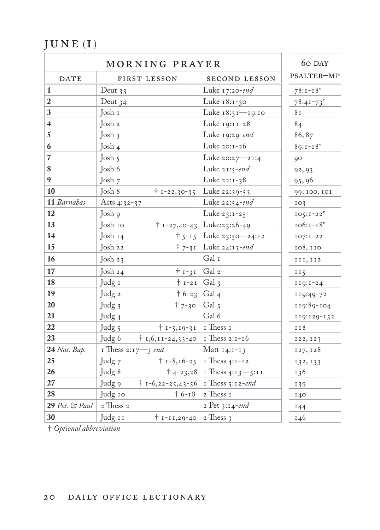# $JUNE(I)$

| MORNING PRAYER          |                    |                                            |                                       | 60 DAY         |
|-------------------------|--------------------|--------------------------------------------|---------------------------------------|----------------|
| <b>DATE</b>             |                    | FIRST LESSON                               | SECOND LESSON                         | PSALTER-MP     |
| 1                       | Deut $33$          |                                            | Luke 17:20-end                        | $78:1 - 18$    |
| $\overline{2}$          | Deut $34$          |                                            | Luke 18:1-30                          | $78:41 - 73$   |
| $\mathbf{3}$            | Josh 1             |                                            | Luke 18:31-19:10                      | 8 <sub>I</sub> |
| $\overline{\mathbf{4}}$ | Josh 2             |                                            | Luke 19:11-28                         | 84             |
| 5                       | Josh 3             |                                            | Luke 19:29-end                        | 86,87          |
| $\boldsymbol{6}$        | Josh 4             |                                            | Luke 20:1-26                          | $89:1 - 18$    |
| $\overline{7}$          | Josh $5$           |                                            | Luke 20:27-21:4                       | 90             |
| $\bf 8$                 | Josh 6             |                                            | Luke $21:5$ -end                      | 92, 93         |
| $\boldsymbol{9}$        | Josh 7             |                                            | Luke 22:1-38                          | 95,96          |
| 10                      | Josh 8             |                                            | $\dagger$ 1-22,30-35 Luke 22:39-53    | 99, 100, 101   |
| 11 Barnabas             | Acts $4:32-37$     |                                            | Luke 22:54-end                        | IO3            |
| 12                      | Josh 9             |                                            | Luke $23:1-25$                        | $IO5:I-22V$    |
| 13                      | Josh 10            |                                            | $\uparrow$ 1-27,40-43 Luke:23:26-49   | $106:1 - 18^v$ |
| 14                      | Josh $14$          |                                            | $\uparrow$ 5-15 Luke 23:50-24:12      | $IO7:I-22$     |
| 15                      | $\int$ osh 22      |                                            | $\uparrow$ 7-31 Luke 24:13-end        | 108,110        |
| 16                      | Josh $23$          |                                            | Gal I                                 | III, II2       |
| 17                      | Josh $24$          | $\dagger$ 1-31 Gal 2                       |                                       | II5            |
| 18                      | Judg 1             | $\dagger$ 1-21 Gal 3                       |                                       | $119:1-24$     |
| 19                      | Judg 2             | $\dagger$ 6-23 Gal 4                       |                                       | 119:49-72      |
| 20                      | Judg 3             | $\dagger$ 7-30 Gal 5                       |                                       | 119:89-104     |
| 21                      | Judg <sub>4</sub>  |                                            | Gal 6                                 | 119:129-152    |
| 22                      | Judg 5             | $\dagger$ 1-5,19-31   1 Thess 1            |                                       | 118            |
| 23                      | Judg 6             | $\dagger$ 1,6,11-24,33-40   1 Thess 2:1-16 |                                       | 122, 123       |
| 24 Nat. Bap.            | I Thess 2:17-3 end |                                            | Matt $14:1-13$                        | 127, 128       |
| 25                      | Judg 7             |                                            | $\uparrow$ 1-8,16-25   1 Thess 4:1-12 | 132, 133       |
| 26                      | Judg 8             |                                            | $\dagger$ 4-23,28 I Thess 4:13 -5:11  | 136            |
| 27                      | Judg 9             | $\dagger$ 1-6,22-25,43-56 1 Thess 5:12-end |                                       | 139            |
| 28                      | Judg 10            |                                            | $\dagger$ 6-18 2 Thess 1              | 140            |
| $29$ Pet. & Paul        | 2 Thess 2          |                                            | 2 Pet 3:14-end                        | 144            |
| 30                      | Judg 11            | $\uparrow$ 1-11,29-40 2 Thess 3            |                                       | 146            |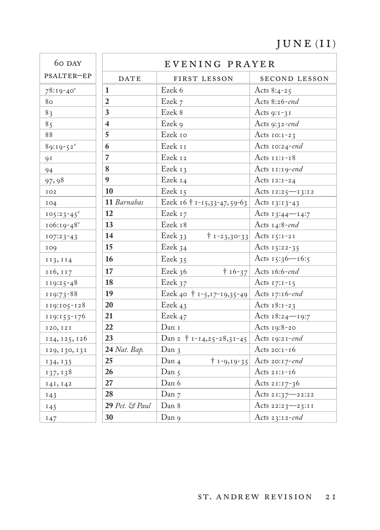# $JUNE (II)$

| 60 DAY                  |                         |                             | EVENING PRAYER                    |
|-------------------------|-------------------------|-----------------------------|-----------------------------------|
| PSALTER-EP              | DATE                    | FIRST LESSON                | SECOND LESSON                     |
| $78:19-40$ <sup>v</sup> | 1                       | Ezek 6                      | Acts $8:4-25$                     |
| 80                      | $\overline{2}$          | Ezek 7                      | Acts 8:26-end                     |
| 83                      | 3                       | Ezek 8                      | Acts $9:1-31$                     |
| 85                      | $\overline{\mathbf{4}}$ | Ezek 9                      | Acts 9:32-end                     |
| 88                      | 5                       | Ezek 10                     | Acts $10:1-23$                    |
| $89:19-52$ <sup>v</sup> | 6                       | Ezek 11                     | Acts 10:24-end                    |
| 9I                      | $\overline{7}$          | Ezek 12                     | Acts $11:1-18$                    |
| 94                      | 8                       | Ezek 13                     | Acts 11:19-end                    |
| 97,98                   | $\boldsymbol{q}$        | Ezek 14                     | Acts $12:1-24$                    |
| IO2                     | 10                      | Ezek 15                     | Acts 12:25-13:12                  |
| 104                     | 11 Barnabas             | Ezek 16 † 1-15,33-47,59-63  | Acts 13:13-43                     |
| $IO5:23-45^V$           | 12                      | Ezek 17                     | Acts $13:44$ - $14:7$             |
| $106:19-48$             | 13                      | Ezek 18                     | Acts 14:8-end                     |
| $107:23-43$             | 14                      | Ezek 33                     | $\dagger$ 1-23,30-33 Acts 15:1-21 |
| 109                     | 15                      | Ezek 34                     | Acts $15:22-35$                   |
| 113, 114                | 16                      | Ezek 35                     | Acts $15:36 - 16:5$               |
| 116, 117                | 17                      | Ezek 36<br>$† 16-37$        | Acts 16:6-end                     |
| $119:25-48$             | 18                      | Ezek 37                     | Acts $17:1-15$                    |
| 119:73-88               | 19                      | Ezek 40 + 1-5,17-19,35-49   | Acts 17:16-end                    |
| $119:105 - 128$         | 20                      | Ezek 43                     | Acts $18:1-23$                    |
| 119:153-176             | 21                      | Ezek 47                     | Acts $18:24 - 19:7$               |
| 120, 121                | 22                      | Dan 1                       | Acts $19:8-20$                    |
| 124, 125, 126           | 23                      | Dan 2 + 1-14,25-28,31-45    | Acts $19:21$ -end                 |
| 129, 130, 131           | 24 Nat. Bap.            | Dan <sub>3</sub>            | Acts $20:1-16$                    |
| 134, 135                | 25                      | Dan 4<br>$† 1 - 9, 19 - 35$ | Acts 20:17-end                    |
| 137, 138                | 26                      | Dan 5                       | Acts $21:1-16$                    |
| 141, 142                | 27                      | Dan 6                       | Acts $21:17-36$                   |
| 143                     | 28                      | Dan 7                       | Acts 21:37-22:22                  |
| 145                     | 29 Pet. & Paul          | Dan 8                       | Acts 22:23-23:11                  |
| 147                     | 30                      | Dan 9                       | Acts 23:12-end                    |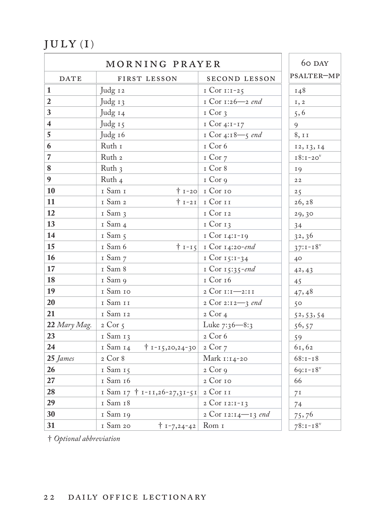$\texttt{JULY (I)}$ 

|                         | 60 DAY                                       |                                |                |
|-------------------------|----------------------------------------------|--------------------------------|----------------|
| <b>DATE</b>             | FIRST LESSON                                 | <b>SECOND LESSON</b>           | PSALTER-MP     |
| $\vert$ 1               | Judg 12                                      | $ICor II:1-25$                 | 148            |
| $\overline{2}$          | Judg 13                                      | I Cor 1:26-2 end               | 1, 2           |
| $\mathbf{3}$            | Judg 14                                      | $I$ Cor $3$                    | 5, 6           |
| $\overline{\mathbf{4}}$ | Judg 15                                      | $ICor 4:I-I7$                  | 9              |
| $\overline{5}$          | Judg 16                                      | I Cor 4:18-5 $\emph{end}$      | 8, 11          |
| $\boldsymbol{6}$        | Ruth I                                       | I Cor 6                        | 12, 13, 14     |
| $\overline{7}$          | Ruth <sub>2</sub>                            | I Cor 7                        | $I8:1-20V$     |
| $\bf 8$                 | Ruth 3                                       | $I$ Cor 8                      | <b>19</b>      |
| $\boldsymbol{9}$        | Ruth 4                                       | I Cor 9                        | $2\,2$         |
| 10                      | I Sam I                                      | $\dagger$ 1-20 I Cor 10        | 25             |
| 11                      | I Sam 2                                      | $ 1-21 $ I Cor II              | 26, 28         |
| <b>12</b>               | I Sam 3                                      | I Cor 12                       | 29,30          |
| 13                      | I Sam 4                                      | $I$ Cor $I$ 3                  | 34             |
| 14                      | I Sam 5                                      | I Cor 14:1-19                  | 32,36          |
| 15                      | I Sam 6                                      | $\dagger$ 1-15 1 Cor 14:20-end | $37:1 - 18$    |
| 16                      | I Sam 7                                      | 1 Cor 15:1-34                  | $40^{\circ}$   |
| 17                      | I Sam 8                                      | I Cor 15:35-end                | 42, 43         |
| 18                      | 1 Sam 9                                      | I Cor 16                       | 45             |
| 19                      | I Sam 10                                     | 2 Cor 1:1-2:11                 | 47,48          |
| 20                      | $\scriptstyle\rm I$ Sam $\scriptstyle\rm II$ | 2 Cor 2:12-3 end               | 50             |
| 21                      | I Sam 12                                     | $2$ Cor $4$                    | 52, 53, 54     |
| $22$ Mary Mag.          | 2 Cor 5                                      | Luke 7:36-8:3                  | 56, 57         |
| 23                      | 1 Sam 13                                     | 2 Cor 6                        | 59             |
| 24                      | 1 Sam 14<br>$\dagger$ 1-15,20,24-30 2 Cor 7  |                                | 61,62          |
| 25 James                | 2 Cor 8                                      | Mark 1:14-20                   | $68:1 - 18$    |
| 26                      | 1 Sam 15                                     | $2$ Cor $9$                    | $69:1 - 18$    |
| 27                      | I Sam 16                                     | 2 Cor 10                       | 66             |
| 28                      | I Sam 17 + 1-11,26-27,31-51 2 Cor 11         |                                | 7 <sup>I</sup> |
| 29                      | I Sam 18                                     | 2 Cor 12:1-13                  | 74             |
| 30                      | 1 Sam 19                                     | 2 Cor 12:14-13 end             | 75,76          |
| 31                      | 1 Sam 20<br>$\dagger$ 1-7,24-42 Rom 1        |                                | $78:1 - 18$    |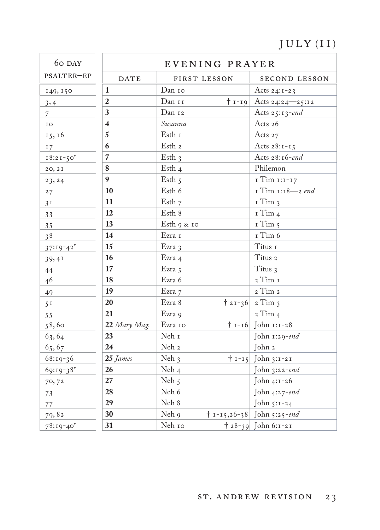# $\texttt{JULY}{}$  (II)

| 60 DAY         | EVENING PRAYER          |                         |                                    |
|----------------|-------------------------|-------------------------|------------------------------------|
| PSALTER-EP     | <b>DATE</b>             | FIRST LESSON            | SECOND LESSON                      |
| 149, 150       | $\mathbf{1}$            | Dan 10                  | Acts $24:1-23$                     |
| 3,4            | $\overline{2}$          | Dan 11                  | $\dagger$ 1-19 Acts 24:24-25:12    |
| $\overline{7}$ | 3                       | Dan 12                  | Acts 25:13-end                     |
| IO             | $\overline{\mathbf{4}}$ | Susanna                 | Acts 26                            |
| 15, 16         | 5                       | Esth 1                  | Acts 27                            |
| 17             | 6                       | Esth <sub>2</sub>       | Acts $28:1-15$                     |
| $18:21-50$     | $\overline{7}$          | Esth $3$                | Acts 28:16-end                     |
| 20, 21         | 8                       | Esth $4$                | Philemon                           |
| 23, 24         | $\boldsymbol{9}$        | Esth $5$                | I Tim 1:1-17                       |
| 27             | 10                      | Esth 6                  | I Tim 1:18-2 end                   |
| 3 <sup>T</sup> | 11                      | Esth $7$                | I Tim 3                            |
| 33             | 12                      | Esth 8                  | $I$ Tim $4$                        |
| 35             | 13                      | Esth 9 & 10             | $I$ Tim $5$                        |
| 38             | 14                      | Ezra 1                  | I Tim 6                            |
| $37:19-42^v$   | 15                      | Ezra 3                  | Titus 1                            |
| 39,41          | 16                      | Ezra 4                  | Titus $\it z$                      |
| 44             | 17                      | Ezra 5                  | Titus 3                            |
| 46             | 18                      | Ezra 6                  | $_{\rm 2}$ Tim $_{\rm I}$          |
| 49             | 19                      | Ezra 7                  | 2 Tim 2                            |
| 5 <sup>T</sup> | 20                      | Ezra 8                  | $\frac{1}{2}$ 2 1 - 36 2 Tim 3     |
| 55             | 21                      | Ezra 9                  | 2 Tim 4                            |
| 58,60          | 22 Mary Mag.            | Ezra 10                 | $\dagger$ 1-16 John 1:1-28         |
| 63,64          | 23                      | Neh $\scriptstyle\rm I$ | John 1:29-end                      |
| 65,67          | 24                      | Neh 2                   | John 2                             |
| $68:19-36$     | 25 James                | Neh $3$                 | $\uparrow$ 1-15 John 3:1-21        |
| 69:19-38       | 26                      | Neh $_4$                | John $3:22$ -end                   |
| 70,72          | 27                      | Neh $5$                 | John 4:1-26                        |
| 73             | 28                      | Neh 6                   | John 4:27-end                      |
| 77             | 29                      | Neh 8                   | John 5:1-24                        |
| 79,82          | 30                      | Neh 9                   | $\dagger$ 1-15,26-38 John 5:25-end |
| $78:19-40$     | 31                      | Neh 10                  | $\frac{1}{28-39}$ John 6:1-21      |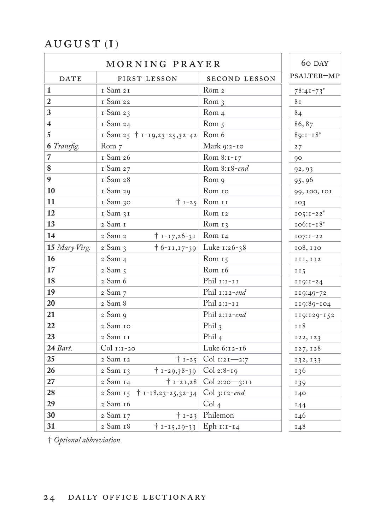### $\operatorname{AUCU}$ ST $(\operatorname{I})$

|                          | 60 DAY                                      |                                    |                 |
|--------------------------|---------------------------------------------|------------------------------------|-----------------|
| <b>DATE</b>              | FIRST LESSON                                | <b>SECOND LESSON</b>               | PSALTER-MP      |
| $\mathbf{1}$             | 1 Sam 21                                    | Rom <sub>2</sub>                   | $78:41 - 73$    |
| $\boldsymbol{2}$         | 1 Sam 22                                    | Rom <sub>3</sub>                   | 8 <sub>I</sub>  |
| $\overline{\mathbf{3}}$  | 1 Sam 23                                    | Rom <sub>4</sub>                   | 84              |
| $\overline{\mathbf{4}}$  | 1 Sam 24                                    | Rom <sub>5</sub>                   | 86,87           |
| $\sqrt{5}$               | I Sam 25 $\dagger$ I-19,23-25,32-42 Rom 6   |                                    | $89:1 - 18$     |
| 6 Transfig.              | Rom 7                                       | Mark 9:2-10                        | 27              |
| $\overline{\phantom{a}}$ | I Sam 26                                    | Rom $8:1-17$                       | 90              |
| $\bf 8$                  | 1 Sam 27                                    | Rom 8:18-end                       | 92, 93          |
| $\overline{9}$           | 1 Sam 28                                    | Rom 9                              | 95,96           |
| ${\bf 10}$               | 1 Sam 29                                    | Rom 10                             | 99, 100, 101    |
| 11                       | 1 Sam 30                                    | $+ 1 - 25$ Rom II                  | IO3             |
| $12\,$                   | 1 Sam 31                                    | Rom 12                             | $IO5:I-22V$     |
| 13                       | 2 Sam 1                                     | Rom $13$                           | $106:1-18v$     |
| 14                       | 2 Sam 2<br>$\dagger$ 1-17,26-31 Rom 14      |                                    | $IO7:I-22$      |
| 15 Mary Virg.            | 2 Sam 3                                     | $\dagger$ 6-11,17-39 Luke 1:26-38  | 108,110         |
| 16                       | 2 Sam 4                                     | Rom $15$                           | III, II2        |
| ${\bf 17}$               | 2 Sam 5                                     | Rom 16                             | II <sub>5</sub> |
| 18                       | 2 Sam 6                                     | Phil $\scriptstyle\rm II\,II\,III$ | $119:1-24$      |
| 19                       | 2 Sam 7                                     | Phil 1:12-end                      | 119:49-72       |
| $20\,$                   | 2 Sam 8                                     | Phil $_{\rm 2:1-I\,I}$             | 119:89-104      |
| 21                       | 2 Sam 9                                     | Phil 2:12-end                      | 119:129-152     |
| $22\,$                   | 2 Sam 10                                    | Phil 3                             | 118             |
| 23                       | $_{\rm 2}$ Sam $_{\rm II}$                  | Phil <sub>4</sub>                  | 122, 123        |
| 24 Bart.                 | Col 1:1-20                                  | Luke 6:12-16                       | 127, 128        |
| $25\,$                   | 2 Sam 12                                    | $\uparrow$ 1-25 Col 1:21-2:7       | 132, 133        |
| $26\,$                   | $\dagger$ 1-29,38-39 Col 2:8-19<br>2 Sam 13 |                                    | 136             |
| 27                       | 2 Sam 14                                    | $\dagger$ 1-21,28 Col 2:20-3:11    | 139             |
| 28                       | 2 Sam 15 + 1-18,23-25,32-34 Col 3:12-end    |                                    | I40             |
| $29\,$                   | 2 Sam 16                                    | Col <sub>4</sub>                   | 144             |
| 30                       | 2 Sam 17                                    | $\uparrow$ 1-23 Philemon           | 146             |
| 31                       | $\dagger$ 1-15,19-33 Eph 1:1-14<br>2 Sam 18 |                                    | 148             |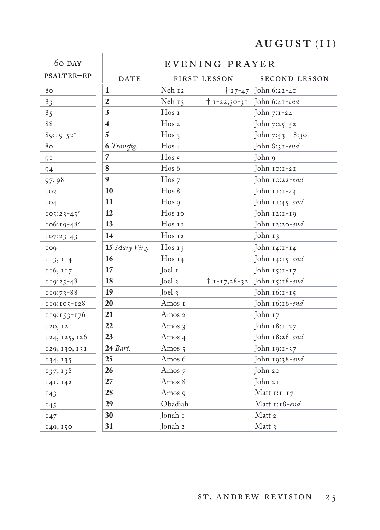# $\hbox{AUGUST (II)}$

| 60 DAY                  |                         | EVENING PRAYER     |                    |                             |  |
|-------------------------|-------------------------|--------------------|--------------------|-----------------------------|--|
| PSALTER-EP              | DATE                    | FIRST LESSON       |                    | SECOND LESSON               |  |
| 80                      | $\mathbf{1}$            | Neh 12             | $† 27 - 47$        | John 6:22-40                |  |
| 83                      | $\overline{2}$          | Neh $13$           | $+ 1 - 22,30 - 31$ | John 6:41-end               |  |
| 85                      | 3                       | $H$ os $I$         |                    | John 7:1-24                 |  |
| 88                      | $\overline{\mathbf{4}}$ | $H$ os 2           |                    | John 7:25-52                |  |
| $89:19-52$ <sup>v</sup> | 5                       | Hos <sub>3</sub>   |                    | John 7:53-8:30              |  |
| 80                      | 6 Transfig.             | Hos <sub>4</sub>   |                    | John 8:31-end               |  |
| <b>91</b>               | 7                       | Hos <sub>5</sub>   |                    | John 9                      |  |
| 94                      | 8                       | Hos 6              |                    | John 10:1-21                |  |
| 97,98                   | $\boldsymbol{9}$        | $H$ os $7$         |                    | John 10:22-end              |  |
| IO2                     | 10                      | Hos 8              |                    | John 11:1-44                |  |
| IO4                     | 11                      | $H$ os 9           |                    | John 11:45-end              |  |
| $105:23-45$             | 12                      | Hos 10             |                    | John 12:1-19                |  |
| 106:19-48               | 13                      | Hos 11             |                    | John 12:20-end              |  |
| $107:23-43$             | 14                      | Hos 12             |                    | John 13                     |  |
| 109                     | 15 Mary Virg.           | Hos <sub>13</sub>  |                    | John $14:1-14$              |  |
| 113, 114                | 16                      | Hos <sub>14</sub>  |                    | John $14:15$ -end           |  |
| 116, 117                | 17                      | Joel 1             |                    | John 15:1-17                |  |
| 119:25-48               | 18                      | Joel 2             |                    | † 1-17,28-32 John 15:18-end |  |
| 119:73-88               | 19                      | Joel $3$           |                    | John 16:1-15                |  |
| 119:105-128             | 20                      | Amos 1             |                    | John 16:16-end              |  |
| $119:153-176$           | 21                      | Amos 2             |                    | John 17                     |  |
| 120, 121                | 22                      | Amos 3             |                    | John 18:1-27                |  |
| 124, 125, 126           | 23                      | Amos 4             |                    | John 18:28-end              |  |
| 129, 130, 131           | 24 Bart.                | Amos $\,$ 5        |                    | John 19:1-37                |  |
| 134, 135                | 25                      | Amos 6             |                    | John 19:38-end              |  |
| 137, 138                | 26                      | Amos 7             |                    | John 20                     |  |
| 141, 142                | 27                      | Amos 8             |                    | John 21                     |  |
| 143                     | 28                      | Amos 9             |                    | Matt $1:1-17$               |  |
| 145                     | 29                      | Obadiah            |                    | Matt $1:18$ -end            |  |
| 147                     | 30                      | Jonah I            |                    | $\operatorname{Matt}$ 2     |  |
| 149, 150                | 31                      | Jonah <sub>2</sub> |                    | Matt 3                      |  |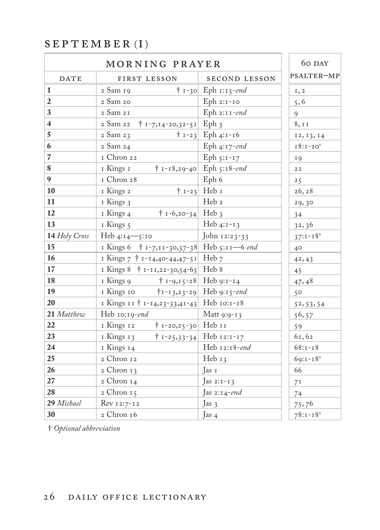#### $S E P T E M B E R (I)$

|                          | 60 DAY                                       |                                   |                |
|--------------------------|----------------------------------------------|-----------------------------------|----------------|
| <b>DATE</b>              | FIRST LESSON                                 | SECOND LESSON                     | PSALTER-MP     |
| 1                        | 2 Sam 19                                     | $\dagger$ 1-30 Eph 1:15-end       | I, 2           |
| $\boldsymbol{2}$         | 2 Sam 20                                     | Eph 2:1-10                        | 5, 6           |
| $\overline{\mathbf{3}}$  | 2 Sam 21                                     | Eph $2:11$ -end                   | 9              |
| $\overline{4}$           | 2 Sam 22<br>$\uparrow$ 1-7,14-20,32-51 Eph 3 |                                   | 8, 11          |
| $\overline{5}$           | 2 Sam 23                                     | $\uparrow$ 1-23 Eph 4:1-16        | 12, 13, 14     |
| 6                        | 2 Sam 24                                     | Eph $4:17$ -end                   | $18:1-20$      |
| $\overline{\phantom{a}}$ | I Chron 22                                   | Eph $5:1-17$                      | <b>19</b>      |
| $\bf 8$                  | 1 Kings 1                                    | $\dagger$ 1-18,29-40 Eph 5:18-end | $2\,2$         |
| $\boldsymbol{9}$         | I Chron 28                                   | Eph 6                             | 25             |
| 10                       | I Kings 2                                    | $\dagger$ 1-25 Heb 1              | 26, 28         |
| 11                       | I Kings 3                                    | Heb 2                             | 29,30          |
| 12                       | $\dagger$ 1-6,20-34 Heb 3<br>1 Kings 4       |                                   | 34             |
| 13                       | I Kings 5                                    | Heb $4:1-13$                      | 32,36          |
| 14 Holy Cross            | Heb $4:14 - 5:10$                            | John 12:23-33                     | $37:1 - 18^v$  |
| 15                       | I Kings 6 + 1-7, 11-30, 37-38 Heb 5:11-6 end |                                   | $40^{\circ}$   |
| 16                       | I Kings 7 + 1-14,40-44,47-51 Heb 7           |                                   | 42, 43         |
| 17                       | I Kings $8 + I-II, 22-30, 54-63$ Heb 8       |                                   | 45             |
| 18                       | 1 Kings 9                                    | $\dagger$ 1-9,15-28 Heb 9:1-14    | 47,48          |
| 19                       | 1 Kings 10                                   | $\mid$ 1-13,23-29 Heb 9:15-end    | 50             |
| 20                       | I Kings 11 + 1-14,23-33,41-43 Heb 10:1-18    |                                   | 52, 53, 54     |
| 21 Matthew               | Heb 10:19-end                                | Matt 9:9-13                       | 56, 57         |
| 22                       | 1 Kings 12<br>$\dagger$ 1-20,25-30 Heb 11    |                                   | 59             |
| 23                       | 1 Kings 13                                   | $\dagger$ 1-25,33-34 Heb 12:1-17  | 61,62          |
| 24                       | I Kings 14                                   | Heb 12:18-end                     | $68:1 - 18$    |
| 25                       | 2 Chron 12                                   | Heb 13                            | $69:1 - 18$    |
| 26                       | 2 Chron 13                                   | Tas 1                             | 66             |
| 27                       | 2 Chron 14                                   | Jas 2: $i - i$ 3                  | 7 <sup>I</sup> |
| 28                       | 2 Chron 15                                   | Jas 2:14-end                      | 74             |
| 29 Michael               | Rev 12:7-12                                  | Jas 3                             | 75,76          |
| 30                       | $2$ Chron $16$                               | Jas $4$                           | $78:1 - 18$    |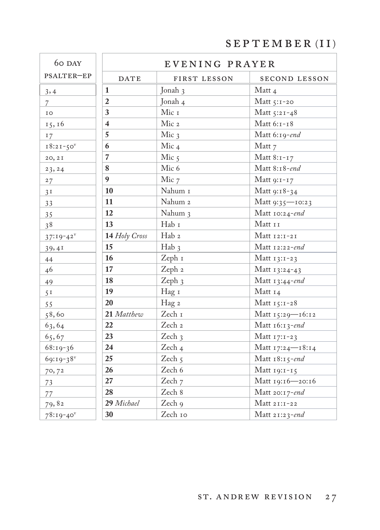SEPTEMBER (II)

| 60 DAY                  |                         | EVENING PRAYER    |                  |
|-------------------------|-------------------------|-------------------|------------------|
| PSALTER-EP              | <b>DATE</b>             | FIRST LESSON      | SECOND LESSON    |
| 3,4                     | 1                       | Jonah 3           | Matt 4           |
| $\overline{7}$          | $\overline{2}$          | Jonah 4           | Matt 5:1-20      |
| IO                      | 3                       | Mic 1             | Matt 5:21-48     |
| 15, 16                  | $\overline{\mathbf{4}}$ | Mic 2             | Matt 6:1-18      |
| 17                      | 5                       | Mic $\frac{1}{3}$ | Matt 6:19-end    |
| $18:21-50$              | 6                       | Mic <sub>4</sub>  | Matt 7           |
| 20, 21                  | $\overline{7}$          | Mic $5$           | Matt 8:1-17      |
| 23, 24                  | 8                       | Mic 6             | Matt 8:18-end    |
| 27                      | $\boldsymbol{9}$        | Mic 7             | Matt 9:1-17      |
| 3 <sup>T</sup>          | 10                      | Nahum I           | Matt 9:18-34     |
| 33                      | 11                      | Nahum 2           | Matt 9:35-10:23  |
| 35                      | 12                      | Nahum 3           | Matt 10:24-end   |
| 38                      | 13                      | Hab 1             | Matt 11          |
| $37:19-42^v$            | 14 Holy Cross           | Hab 2             | Matt 12:1-21     |
| 39,41                   | 15                      | $Hab_3$           | Matt 12:22-end   |
| $44$                    | 16                      | Zeph 1            | Matt 13:1-23     |
| 46                      | 17                      | Zeph 2            | Matt 13:24-43    |
| 49                      | 18                      | Zeph $3$          | Matt 13:44-end   |
| 5 <sup>T</sup>          | 19                      | Hag 1             | Matt 14          |
| 55                      | 20                      | Hag 2             | Matt 15:1-28     |
| 58,60                   | 21 Matthew              | Zech I            | Matt 15:29-16:12 |
| 63,64                   | 22                      | Zech 2            | Matt 16:13-end   |
| 65,67                   | 23                      | Zech 3            | Matt 17:1-23     |
| $68:19-36$              | 24                      | Zech <sub>4</sub> | Matt 17:24-18:14 |
| $69:19-38$ <sup>v</sup> | 25                      | Zech 5            | Matt 18:15-end   |
| 70,72                   | 26                      | Zech 6            | Matt 19:1-15     |
| 73                      | 27                      | Zech 7            | Matt 19:16-20:16 |
| 77                      | 28                      | Zech 8            | Matt 20:17-end   |
| 79,82                   | 29 Michael              | Zech 9            | Matt 21:1-22     |
| $78:19-40$              | 30                      | Zech 10           | Matt 21:23-end   |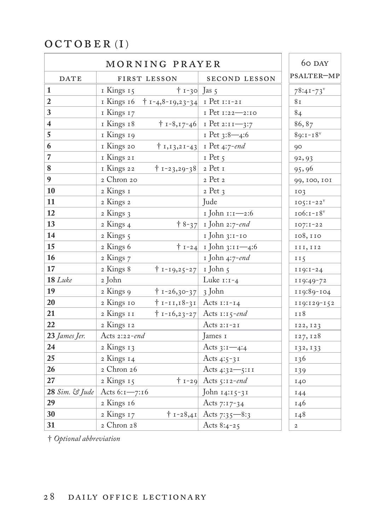### $OCTOBER (I)$

| MORNING PRAYER          |                                          |                                                   |                                      | 60 DAY         |
|-------------------------|------------------------------------------|---------------------------------------------------|--------------------------------------|----------------|
| DATE                    |                                          | FIRST LESSON                                      | <b>SECOND LESSON</b>                 | PSALTER-MP     |
| 1                       | I Kings 15                               | $+ 1 - 30$ Jas 5                                  |                                      | $78:41 - 73$   |
| $\boldsymbol{2}$        |                                          | I Kings 16 $\uparrow$ 1-4,8-19,23-34 I Pet 1:1-21 |                                      | 8r             |
| $\overline{\mathbf{3}}$ | I Kings 17                               |                                                   | I Pet 1:22-2:10                      | 84             |
| $\overline{\mathbf{4}}$ | I Kings 18                               |                                                   | $\dagger$ 1-8,17-46 1 Pet 2:11-3:7   | 86,87          |
| $\overline{5}$          | I Kings 19                               |                                                   | $I$ Pet 3:8-4:6                      | $89:1 - 18$    |
| 6                       | I Kings 20                               |                                                   | $\dagger$ 1, 13, 21-43 1 Pet 4:7-end | 90             |
| $\overline{7}$          | I Kings 21                               |                                                   | $I$ Pet $5$                          | 92, 93         |
| $\bf 8$                 | 1 Kings 22                               | $\dagger$ 1-23,29-38 2 Pet 1                      |                                      | 95,96          |
| $\boldsymbol{9}$        | 2 Chron 20                               |                                                   | 2 Pet 2                              | 99, 100, 101   |
| 10                      | 2 Kings 1                                |                                                   | $2$ Pet $3$                          | IO3            |
| 11                      | 2 Kings 2                                |                                                   | Jude                                 | $IO5:I-22V$    |
| 12                      | 2 Kings 3                                |                                                   | I John 1:1-2:6                       | $106:1 - 18^v$ |
| 13                      | 2 Kings 4                                |                                                   | $\uparrow$ 8-37 I John 2:7-end       | $107:1-22$     |
| 14                      | 2 Kings 5                                |                                                   | 1 John 3:1-10                        | 108,110        |
| 15                      | 2 Kings 6                                |                                                   | $\dagger$ 1-24 I John 3:11-4:6       | III, II2       |
| 16                      | 2 Kings 7                                |                                                   | 1 John 4:7-end                       | II5            |
| 17                      | 2 Kings 8                                | † 1-19,25-27   1 John 5                           |                                      | $119:1-24$     |
| $18$ Luke               | 2 John                                   |                                                   | Luke $1:1-4$                         | 119:49-72      |
| 19                      | 2 Kings 9                                | $+ 1 - 26,30 - 37$ 3 John                         |                                      | 119:89-104     |
| 20                      | 2 Kings 10                               | $\dagger$ 1-11,18-31 Acts 1:1-14                  |                                      | 119:129-152    |
| 21                      | 2 Kings 11                               |                                                   | $\dagger$ 1-16,23-27 Acts 1:15-end   | II8            |
| 22                      | 2 Kings 12                               |                                                   | Acts $2:1-21$                        | 122, 123       |
| 23 James Jer.           | Acts 2:22-end                            |                                                   | James 1                              | 127, 128       |
| 24                      | 2 Kings 13                               |                                                   | Acts $3:1-4:4$                       | 132, 133       |
| 25                      | 2 Kings 14                               |                                                   | Acts 4:5-31                          | 136            |
| 26                      | 2 Chron 26                               |                                                   | Acts 4:32-5:11                       | 139            |
| 27                      | 2 Kings 15                               |                                                   | $\dagger$ 1-29 Acts 5:12-end         | I40            |
|                         | 28 Sim. $\mathcal{G}$ Jude Acts 6:1-7:16 |                                                   | John 14:15-31                        | I44            |
| 29                      | 2 Kings 16                               |                                                   | Acts 7:17-34                         | 146            |
| 30                      | 2 Kings 17                               |                                                   | $\uparrow$ 1-28,41 Acts 7:35-8:3     | 148            |
| 31                      | 2 Chron 28                               |                                                   | Acts $8:4-25$                        | $\mathbf 2$    |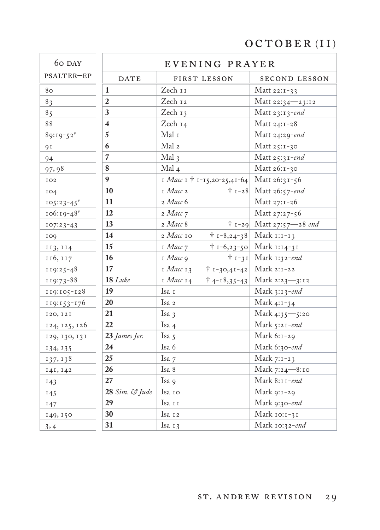# OCTOBER (II)

| 60 DAY                  |                         | EVENING PRAYER                                |                                  |
|-------------------------|-------------------------|-----------------------------------------------|----------------------------------|
| PSALTER-EP              | DATE                    | FIRST LESSON                                  | SECOND LESSON                    |
| 80                      | 1                       | Zech 11                                       | Matt 22:1-33                     |
| 83                      | $\overline{2}$          | Zech 12                                       | Matt 22:34-23:12                 |
| 85                      | 3                       | Zech 13                                       | Matt $23:13$ -end                |
| 88                      | $\overline{\mathbf{4}}$ | Zech 14                                       | Matt 24:1-28                     |
| $89:19-52$ <sup>v</sup> | 5                       | Mal 1                                         | Matt 24:29-end                   |
| <b>91</b>               | 6                       | Mal <sub>2</sub>                              | Matt 25:1-30                     |
| 94                      | $\overline{7}$          | Mal 3                                         | Matt 25:31-end                   |
| 97,98                   | 8                       | $Mal_4$                                       | Matt 26:1-30                     |
| IO <sub>2</sub>         | $\boldsymbol{9}$        | I Macc I + 1-15,20-25,41-64                   | Matt 26:31-56                    |
| IO4                     | 10                      | $I$ <i>Macc</i> 2                             | $\dagger$ 1-28 Matt 26:57-end    |
| $105:23-45$             | 11                      | 2 Macc 6                                      | Matt 27:1-26                     |
| $106:19-48$             | 12                      | 2 Macc 7                                      | Matt 27:27-56                    |
| $107:23-43$             | 13                      | 2 Macc 8                                      | $\dagger$ 1-29 Matt 27:57-28 end |
| 109                     | 14                      | 2 Macc 10<br>$\dagger$ 1-8,24-38              | Mark $1:1-13$                    |
| 113, 114                | 15                      | I Macc 7<br>$† 1 - 6, 23 - 50$                | Mark 1:14-31                     |
| 116, 117                | 16                      | $I$ <i>Macc</i> $\varphi$                     | $\dagger$ 1-31 Mark 1:32-end     |
| $119:25-48$             | 17                      | 1 Macc 13<br>$† 1 - 30,41 - 42 $              | Mark 2:1-22                      |
| 119:73-88               | $18$ Luke               | $I$ <i>Macc</i> $I$ 4<br>$\dagger$ 4-18,35-43 | Mark 2:23—3:12                   |
| 119:105-128             | 19                      | Isa 1                                         | Mark $3:13$ -end                 |
| $119:153-176$           | 20                      | Isa 2                                         | Mark 4:1-34                      |
| 120, 121                | 21                      | Isa $\frac{1}{3}$                             | Mark 4:35-5:20                   |
| 124, 125, 126           | 22                      | Isa 4                                         | Mark 5:21-end                    |
| 129, 130, 131           | 23 James Jer.           | Isa 5                                         | Mark 6:1-29                      |
| 134, 135                | 24                      | Isa 6                                         | Mark 6:30-end                    |
| 137, 138                | 25                      | Isa 7                                         | Mark 7:1-23                      |
| 141, 142                | 26                      | Isa 8                                         | Mark 7:24-8:10                   |
| 143                     | 27                      | Isa 9                                         | Mark 8:11-end                    |
| 145                     | 28 Sim. & Jude          | Isa 10                                        | Mark 9:1-29                      |
| 147                     | 29                      | Isa 11                                        | Mark 9:30-end                    |
| 149, 150                | 30                      | Isa 12                                        | Mark 10:1-31                     |
| 3, 4                    | 31                      | Isa $13$                                      | Mark 10:32-end                   |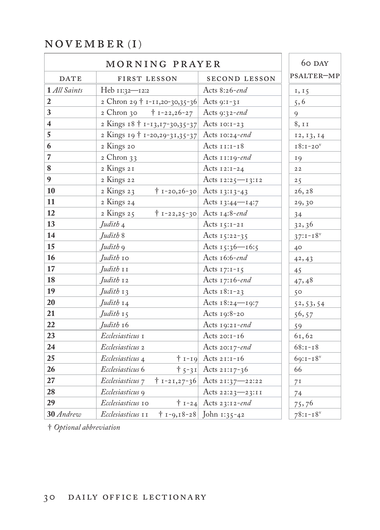### $N$ OVEMBER (I)

| MORNING PRAYER           |                                              |                                       | 60 DAY         |
|--------------------------|----------------------------------------------|---------------------------------------|----------------|
| <b>DATE</b>              | FIRST LESSON                                 | <b>SECOND LESSON</b>                  | PSALTER-MP     |
| 1 All Saints             | Heb 11:32-12:2                               | Acts 8:26-end                         | 1, 15          |
| $\boldsymbol{2}$         | 2 Chron 29 + 1-11,20-30,35-36 Acts 9:1-31    |                                       | 5, 6           |
| $\mathbf{3}$             | 2 Chron 30<br>$\dagger$ 1-22,26-27           | Acts 9:32-end                         | $\mathbf{Q}$   |
| $\overline{\mathbf{4}}$  | 2 Kings 18 † 1-13, 17-30, 35-37              | Acts $10:1-23$                        | 8,11           |
| $\overline{5}$           | 2 Kings 19 + 1-20,29-31,35-37 Acts 10:24-end |                                       | 12, 13, 14     |
| 6                        | 2 Kings 20                                   | Acts $11:1-18$                        | $18:1-20$      |
| $\overline{\phantom{a}}$ | $2$ Chron $33$                               | Acts $11:19$ -end                     | <b>19</b>      |
| 8                        | 2 Kings 21                                   | Acts $12:1-24$                        | 22             |
| 9                        | 2 Kings 22                                   | Acts 12:25-13:12                      | 25             |
| 10                       | 2 Kings 23                                   | $\dagger$ 1-20,26-30 Acts 13:13-43    | 26, 28         |
| 11                       | 2 Kings 24                                   | Acts 13:44-14:7                       | 29,30          |
| 12                       | 2 Kings 25                                   | $\dagger$ 1-22,25-30 Acts 14:8-end    | 34             |
| 13                       | Judith 4                                     | Acts $15:1-21$                        | 32, 36         |
| 14                       | Judith 8                                     | Acts $15:22-35$                       | $37:1 - 18^v$  |
| 15                       | Judith <sub>9</sub>                          | Acts $15:36 - 16:5$                   | 40             |
| 16                       | Judith 10                                    | Acts 16:6-end                         | 42, 43         |
| 17                       | Judith 11                                    | Acts $17:1-15$                        | 45             |
| 18                       | Judith 12                                    | Acts 17:16-end                        | 47,48          |
| 19                       | Judith 13                                    | Acts $18:1-23$                        | 50             |
| 20                       | Judith 14                                    | Acts $18:24$ -19:7                    | 52, 53, 54     |
| 21                       | Judith 15                                    | Acts $19:8-20$                        | 56,57          |
| 22                       | Judith 16                                    | Acts $19:21$ -end                     | 59             |
| 23                       | Ecclesiasticus 1                             | Acts $20:1-16$                        | 61,62          |
| 24                       | Ecclesiasticus 2                             | Acts 20:17-end                        | $68:1 - 18$    |
| 25                       | Ecclesiasticus 4                             | $\dagger$ 1-19 Acts 21:1-16           | $69:1 - 18$    |
| 26                       | Ecclesiasticus 6                             | $\uparrow$ 5-31 Acts 21:17-36         | 66             |
| 27                       | Ecclesiasticus 7                             | $\dagger$ 1-21,27-36 Acts 21:37-22:22 | 7 <sup>I</sup> |
| 28                       | Ecclesiasticus 9                             | Acts $22:23 - 23:11$                  | 74             |
| 29                       | Ecclesiasticus 10                            | $\dagger$ 1-24 Acts 23:12-end         | 75,76          |
| 30 Andrew                | Ecclesiasticus 11                            | $\dagger$ 1-9,18-28 John 1:35-42      | $78:1 - 18$    |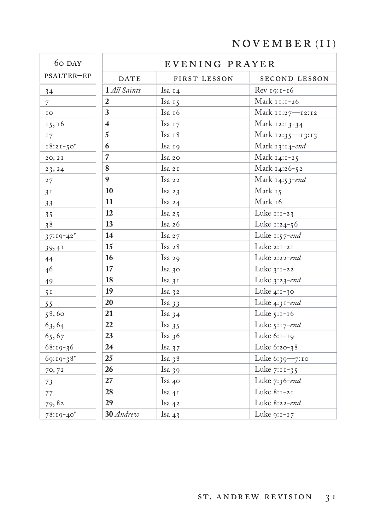# $\hbox{\tt NOVEMBER}$  (II)

| 60 DAY                  |                         | EVENING PRAYER |                  |
|-------------------------|-------------------------|----------------|------------------|
| PSALTER-EP              | <b>DATE</b>             | FIRST LESSON   | SECOND LESSON    |
| 34                      | 1 All Saints            | Isa 14         | Rev 19:1-16      |
| $\overline{7}$          | $\mathbf{2}$            | Isa 15         | Mark 11:1-26     |
| IO                      | 3                       | Isa 16         | Mark 11:27-12:12 |
| 15, 16                  | $\overline{\mathbf{4}}$ | Isa 17         | Mark 12:13-34    |
| 17                      | 5                       | Isa 18         | Mark 12:35—13:13 |
| $18:21-50^v$            | 6                       | Isa 19         | Mark 13:14-end   |
| 20, 21                  | $\overline{7}$          | Isa 20         | Mark 14:1-25     |
| 23, 24                  | 8                       | Isa 21         | Mark 14:26-52    |
| 27                      | $\mathbf{q}$            | Isa 22         | Mark 14:53-end   |
| 3 <sup>T</sup>          | 10                      | Isa 23         | Mark 15          |
| 33                      | 11                      | Isa $24$       | Mark 16          |
| 35                      | 12                      | Isa 25         | Luke 1:1-23      |
| 38                      | 13                      | Isa $26$       | Luke 1:24-56     |
| $37:19-42$              | 14                      | Isa 27         | Luke $1:57$ -end |
| 39,41                   | 15                      | Isa 28         | Luke 2:1-21      |
| 44                      | 16                      | Isa 29         | Luke 2:22-end    |
| 46                      | 17                      | Isa 30         | Luke $3:1-22$    |
| 49                      | 18                      | Isa 31         | Luke $3:23$ -end |
| 5 <sup>T</sup>          | 19                      | Isa 32         | Luke $4:1-30$    |
| 55                      | 20                      | Isa $33$       | Luke 4:31-end    |
| 58,60                   | 21                      | Isa $34$       | Luke 5:1-16      |
| 63,64                   | 22                      | Isa 35         | Luke 5:17-end    |
| 65,67                   | 23                      | Isa $36$       | Luke 6:1-19      |
| $68:19-36$              | 24                      | Isa $37$       | Luke 6:20-38     |
| $69:19-38$ <sup>v</sup> | 25                      | Isa $38$       | Luke 6:39-7:10   |
| 70,72                   | 26                      | Isa $39$       | Luke 7:11-35     |
| 73                      | 27                      | Isa 40         | Luke 7:36-end    |
| 77                      | 28                      | Isa 41         | Luke 8:1-21      |
| 79,82                   | 29                      | Isa 42         | Luke 8:22-end    |
| $78:19-40$ <sup>v</sup> | 30 Andrew               | Isa 43         | Luke 9:1-17      |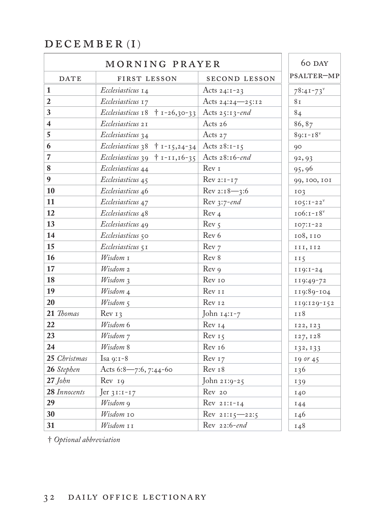## $DECEMBER\ (I)$

| MORNING PRAYER          |                                                                |                   | 60 DAY         |
|-------------------------|----------------------------------------------------------------|-------------------|----------------|
| <b>DATE</b>             | FIRST LESSON                                                   | SECOND LESSON     | PSALTER-MP     |
| 1                       | Ecclesiasticus 14                                              | Acts $24:1-23$    | $78:41 - 73$   |
| $\sqrt{2}$              | Ecclesiasticus 17                                              | Acts 24:24-25:12  | 8 <sub>I</sub> |
| $\mathbf{3}$            | Ecclesiasticus 18 $+$ 1-26,30-33 Acts 25:13-end                |                   | 84             |
| $\overline{\mathbf{4}}$ | Ecclesiasticus 21                                              | Acts 26           | 86, 87         |
| 5                       | Ecclesiasticus 34                                              | Acts 27           | $89:1 - 18$    |
| 6                       | <i>Ecclesiasticus</i> 38 $\uparrow$ 1-15,24-34 Acts 28:1-15    |                   | 90             |
| $\overline{7}$          | <i>Ecclesiasticus</i> 39 $\uparrow$ 1-11, 16-35 Acts 28:16-end |                   | 92, 93         |
| $\bf 8$                 | Ecclesiasticus 44                                              | Rev <sub>I</sub>  | 95,96          |
| $\boldsymbol{9}$        | Ecclesiasticus 45                                              | $Rev 2:1-17$      | 99, 100, 101   |
| 10                      | Ecclesiasticus 46                                              | $Rev 2:18 - 3:6$  | IO3            |
| 11                      | Ecclesiasticus 47                                              | Rev 3:7-end       | $IO5:I-22V$    |
| 12                      | Ecclesiasticus 48                                              | Rev <sub>4</sub>  | $106:1 - 18^v$ |
| 13                      | Ecclesiasticus 49                                              | Rev <sub>5</sub>  | $IO7:I-22$     |
| 14                      | Ecclesiasticus 50                                              | Rev 6             | 108,110        |
| $15\,$                  | Ecclesiasticus 5 I                                             | Rev 7             | III, II2       |
| 16                      | Wisdom 1                                                       | Rev 8             | II5            |
| 17                      | Wisdom 2                                                       | Rev 9             | $119:1-24$     |
| 18                      | $W$ isdom $\chi$                                               | Rev 10            | 119:49-72      |
| 19                      | Wisdom 4                                                       | Rev 11            | 119:89-104     |
| 20                      | $Wisdom\mathcal{F}$                                            | Rev 12            | II9:129-152    |
| 21 Thomas               | Rev <sub>13</sub>                                              | John $14:1-7$     | 118            |
| 22                      | Wisdom 6                                                       | Rev I4            | 122, 123       |
| 23                      | Wisdom 7                                                       | Rev <sub>15</sub> | 127, 128       |
| 24                      | Wisdom 8                                                       | Rev 16            | 132, 133       |
| 25 Christmas            | Isa $9:1-8$                                                    | Rev <sub>17</sub> | $19$ or $45$   |
| 26 Stephen              | Acts 6:8-7:6, 7:44-60                                          | Rev 18            | 136            |
| $27$ John               | Rev <sub>19</sub>                                              | John 21:9-25      | 139            |
| 28 Innocents            | $Jer 31:1-17$                                                  | Rev 20            | 140            |
| 29                      | Wisdom 9                                                       | $Rev 21:1-14$     | 144            |
| 30                      | Wisdom 10                                                      | Rev 21:15-22:5    | 146            |
| 31                      | Wisdom 11                                                      | Rev 22:6-end      | 148            |